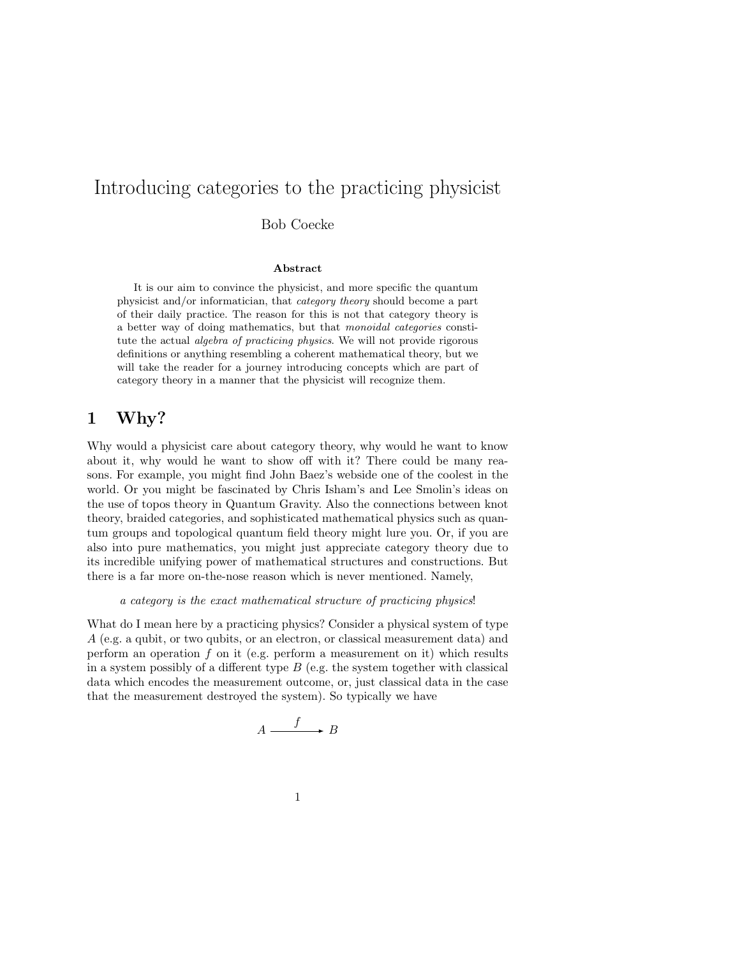# Introducing categories to the practicing physicist

Bob Coecke

#### Abstract

It is our aim to convince the physicist, and more specific the quantum physicist and/or informatician, that category theory should become a part of their daily practice. The reason for this is not that category theory is a better way of doing mathematics, but that monoidal categories constitute the actual algebra of practicing physics. We will not provide rigorous definitions or anything resembling a coherent mathematical theory, but we will take the reader for a journey introducing concepts which are part of category theory in a manner that the physicist will recognize them.

## 1 Why?

Why would a physicist care about category theory, why would he want to know about it, why would he want to show off with it? There could be many reasons. For example, you might find John Baez's webside one of the coolest in the world. Or you might be fascinated by Chris Isham's and Lee Smolin's ideas on the use of topos theory in Quantum Gravity. Also the connections between knot theory, braided categories, and sophisticated mathematical physics such as quantum groups and topological quantum field theory might lure you. Or, if you are also into pure mathematics, you might just appreciate category theory due to its incredible unifying power of mathematical structures and constructions. But there is a far more on-the-nose reason which is never mentioned. Namely,

#### a category is the exact mathematical structure of practicing physics!

What do I mean here by a practicing physics? Consider a physical system of type A (e.g. a qubit, or two qubits, or an electron, or classical measurement data) and perform an operation f on it (e.g. perform a measurement on it) which results in a system possibly of a different type  $B$  (e.g. the system together with classical data which encodes the measurement outcome, or, just classical data in the case that the measurement destroyed the system). So typically we have

$$
A \xrightarrow{f} B
$$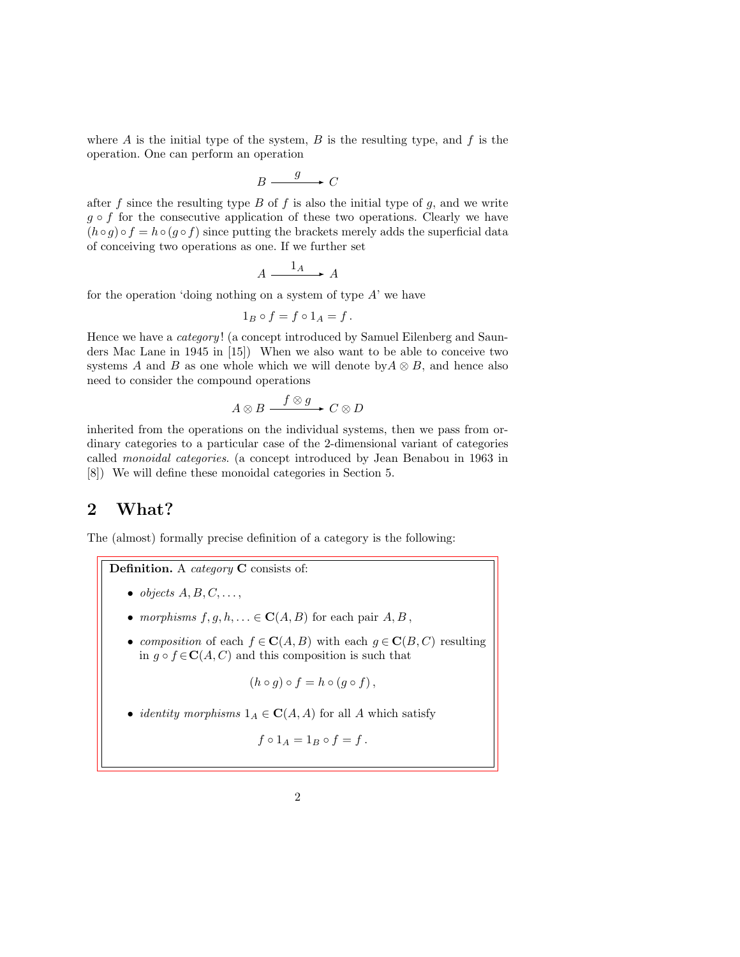where  $A$  is the initial type of the system,  $B$  is the resulting type, and  $f$  is the operation. One can perform an operation

$$
B \xrightarrow{g} C
$$

after f since the resulting type  $B$  of f is also the initial type of  $g$ , and we write  $g \circ f$  for the consecutive application of these two operations. Clearly we have  $(h \circ g) \circ f = h \circ (g \circ f)$  since putting the brackets merely adds the superficial data of conceiving two operations as one. If we further set

$$
A \xrightarrow{\phantom{A}1_A} A
$$

for the operation 'doing nothing on a system of type  $A'$  we have

$$
1_B \circ f = f \circ 1_A = f.
$$

Hence we have a *category*! (a concept introduced by Samuel Eilenberg and Saunders Mac Lane in 1945 in [15]) When we also want to be able to conceive two systems A and B as one whole which we will denote by  $A \otimes B$ , and hence also need to consider the compound operations

$$
A\otimes B\stackrel{f\otimes g}{\longrightarrow}C\otimes D
$$

inherited from the operations on the individual systems, then we pass from ordinary categories to a particular case of the 2-dimensional variant of categories called monoidal categories. (a concept introduced by Jean Benabou in 1963 in [8]) We will define these monoidal categories in Section 5.

### 2 What?

The (almost) formally precise definition of a category is the following:

Definition. A *category* C consists of:

- $\bullet$  objects  $A, B, C, \ldots,$
- morphisms  $f, g, h, \ldots \in \mathbf{C}(A, B)$  for each pair  $A, B$ ,
- composition of each  $f \in \mathbf{C}(A, B)$  with each  $g \in \mathbf{C}(B, C)$  resulting in  $g \circ f \in \mathbf{C}(A, C)$  and this composition is such that

$$
(h \circ g) \circ f = h \circ (g \circ f),
$$

• *identity morphisms*  $1_A \in \mathbf{C}(A, A)$  for all A which satisfy

$$
f\circ 1_A=1_B\circ f=f.
$$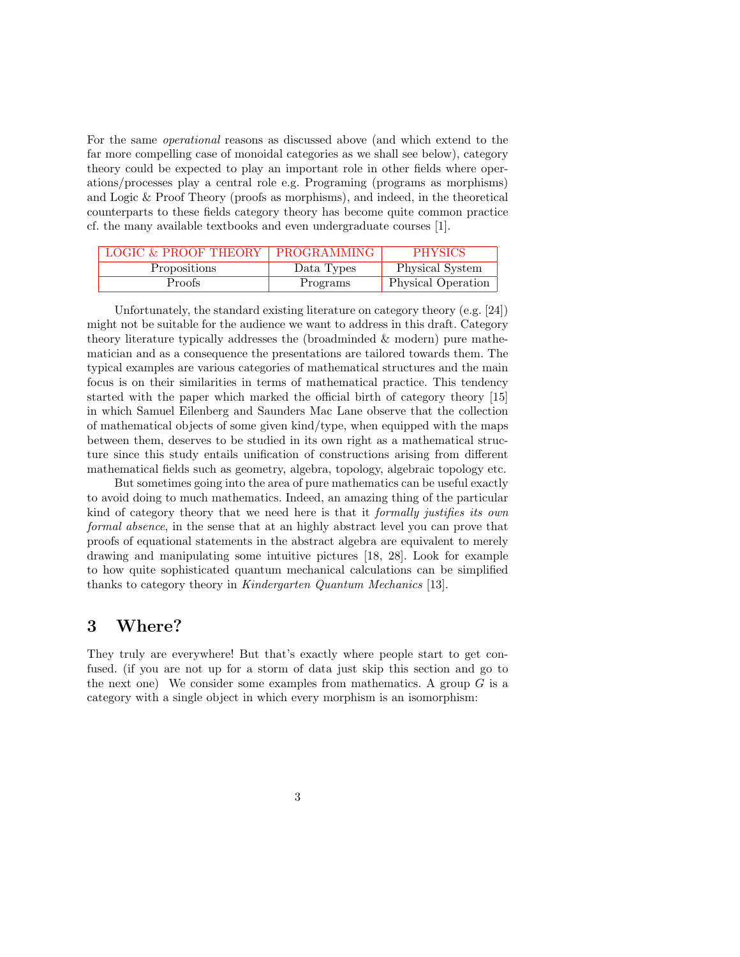For the same operational reasons as discussed above (and which extend to the far more compelling case of monoidal categories as we shall see below), category theory could be expected to play an important role in other fields where operations/processes play a central role e.g. Programing (programs as morphisms) and Logic & Proof Theory (proofs as morphisms), and indeed, in the theoretical counterparts to these fields category theory has become quite common practice cf. the many available textbooks and even undergraduate courses [1].

| LOGIC & PROOF THEORY   PROGRAMMING |            | <b>PHYSICS</b>     |
|------------------------------------|------------|--------------------|
| <b>Propositions</b>                | Data Types | Physical System    |
| Proofs                             | Programs   | Physical Operation |

Unfortunately, the standard existing literature on category theory (e.g. [24]) might not be suitable for the audience we want to address in this draft. Category theory literature typically addresses the (broadminded & modern) pure mathematician and as a consequence the presentations are tailored towards them. The typical examples are various categories of mathematical structures and the main focus is on their similarities in terms of mathematical practice. This tendency started with the paper which marked the official birth of category theory [15] in which Samuel Eilenberg and Saunders Mac Lane observe that the collection of mathematical objects of some given kind/type, when equipped with the maps between them, deserves to be studied in its own right as a mathematical structure since this study entails unification of constructions arising from different mathematical fields such as geometry, algebra, topology, algebraic topology etc.

But sometimes going into the area of pure mathematics can be useful exactly to avoid doing to much mathematics. Indeed, an amazing thing of the particular kind of category theory that we need here is that it formally justifies its own formal absence, in the sense that at an highly abstract level you can prove that proofs of equational statements in the abstract algebra are equivalent to merely drawing and manipulating some intuitive pictures [18, 28]. Look for example to how quite sophisticated quantum mechanical calculations can be simplified thanks to category theory in Kindergarten Quantum Mechanics [13].

#### 3 Where?

They truly are everywhere! But that's exactly where people start to get confused. (if you are not up for a storm of data just skip this section and go to the next one) We consider some examples from mathematics. A group  $G$  is a category with a single object in which every morphism is an isomorphism: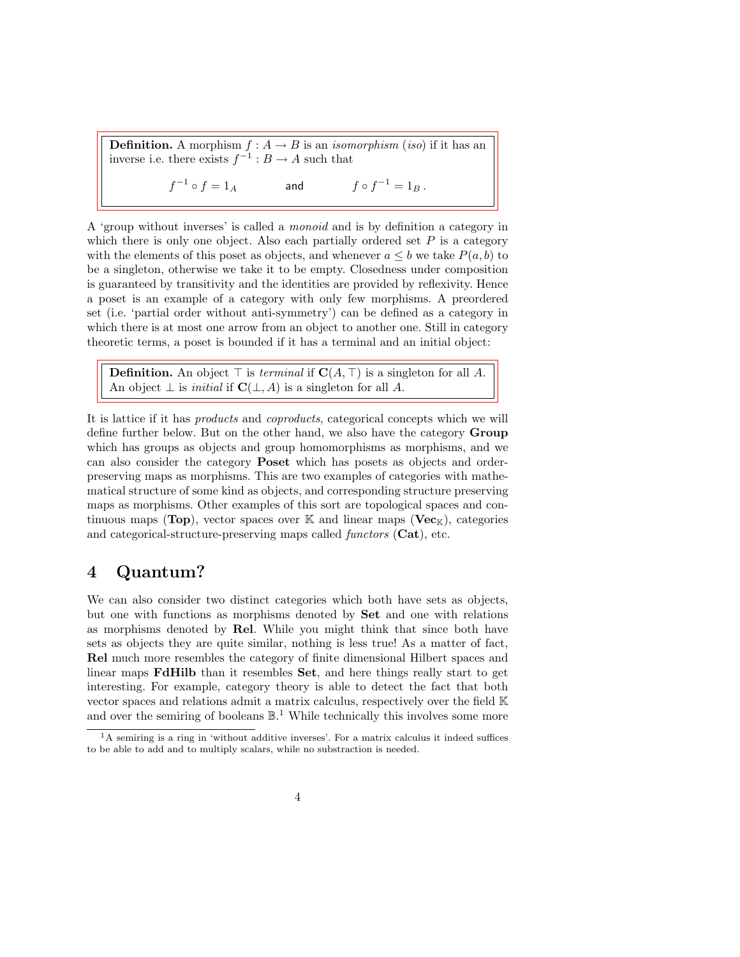**Definition.** A morphism  $f : A \rightarrow B$  is an *isomorphism* (*iso*) if it has an inverse i.e. there exists  $f^{-1}: B \to A$  such that

> $f^{-1} \circ f = 1_A$  and  $f \circ f$  $f \circ f^{-1} = 1_B$ .

A 'group without inverses' is called a monoid and is by definition a category in which there is only one object. Also each partially ordered set  $P$  is a category with the elements of this poset as objects, and whenever  $a \leq b$  we take  $P(a, b)$  to be a singleton, otherwise we take it to be empty. Closedness under composition is guaranteed by transitivity and the identities are provided by reflexivity. Hence a poset is an example of a category with only few morphisms. A preordered set (i.e. 'partial order without anti-symmetry') can be defined as a category in which there is at most one arrow from an object to another one. Still in category theoretic terms, a poset is bounded if it has a terminal and an initial object:

**Definition.** An object  $\top$  is *terminal* if  $\mathbf{C}(A, \top)$  is a singleton for all A. An object  $\perp$  is *initial* if  $\mathbf{C}(\perp, A)$  is a singleton for all A.

It is lattice if it has *products* and *coproducts*, categorical concepts which we will define further below. But on the other hand, we also have the category Group which has groups as objects and group homomorphisms as morphisms, and we can also consider the category Poset which has posets as objects and orderpreserving maps as morphisms. This are two examples of categories with mathematical structure of some kind as objects, and corresponding structure preserving maps as morphisms. Other examples of this sort are topological spaces and continuous maps (Top), vector spaces over K and linear maps (Vec<sub>K</sub>), categories and categorical-structure-preserving maps called functors (Cat), etc.

## 4 Quantum?

We can also consider two distinct categories which both have sets as objects, but one with functions as morphisms denoted by Set and one with relations as morphisms denoted by Rel. While you might think that since both have sets as objects they are quite similar, nothing is less true! As a matter of fact, Rel much more resembles the category of finite dimensional Hilbert spaces and linear maps FdHilb than it resembles Set, and here things really start to get interesting. For example, category theory is able to detect the fact that both vector spaces and relations admit a matrix calculus, respectively over the field K and over the semiring of booleans  $\mathbb{B}^1$ . While technically this involves some more

<sup>&</sup>lt;sup>1</sup>A semiring is a ring in 'without additive inverses'. For a matrix calculus it indeed suffices to be able to add and to multiply scalars, while no substraction is needed.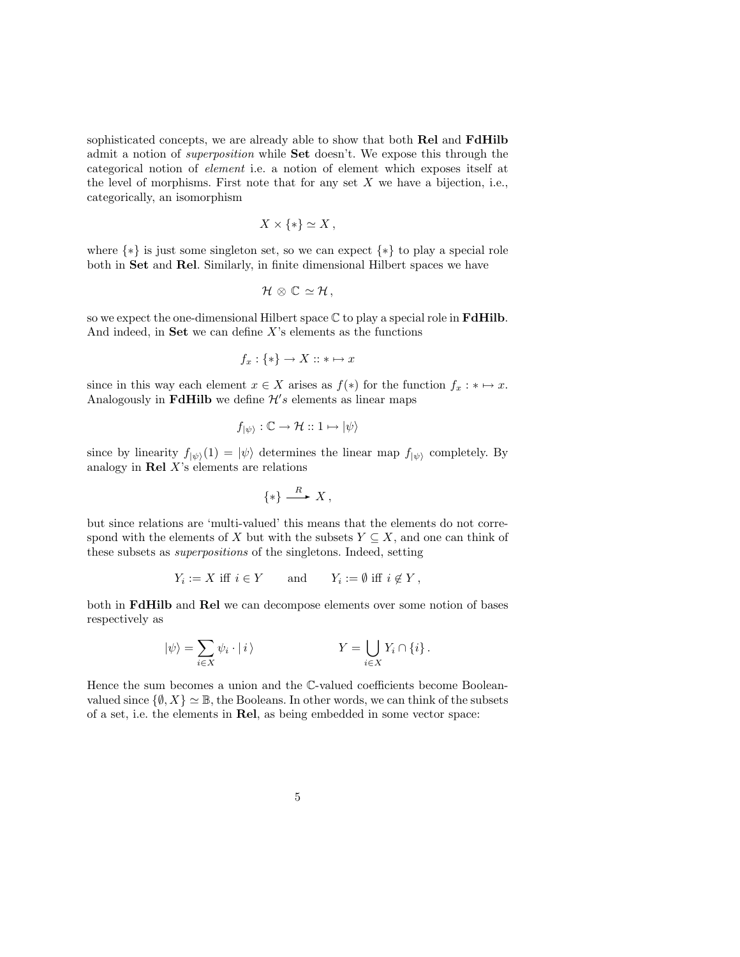sophisticated concepts, we are already able to show that both Rel and FdHilb admit a notion of superposition while Set doesn't. We expose this through the categorical notion of element i.e. a notion of element which exposes itself at the level of morphisms. First note that for any set  $X$  we have a bijection, i.e., categorically, an isomorphism

$$
X \times \{*\} \simeq X \,,
$$

where {∗} is just some singleton set, so we can expect {∗} to play a special role both in Set and Rel. Similarly, in finite dimensional Hilbert spaces we have

$$
\mathcal{H}\otimes\mathbb{C}\simeq\mathcal{H},
$$

so we expect the one-dimensional Hilbert space  $\mathbb C$  to play a special role in  $\mathbf{FdHilb}$ . And indeed, in **Set** we can define  $X$ 's elements as the functions

$$
f_x: \{*\} \to X :: * \mapsto x
$$

since in this way each element  $x \in X$  arises as  $f(*)$  for the function  $f_x : * \mapsto x$ . Analogously in FdHilb we define  $\mathcal{H}'s$  elements as linear maps

$$
f_{|\psi\rangle}:\mathbb{C}\to\mathcal{H}::1\mapsto|\psi\rangle
$$

since by linearity  $f_{|\psi\rangle}(1) = |\psi\rangle$  determines the linear map  $f_{|\psi\rangle}$  completely. By analogy in  $\mathbf{Rel} X$ 's elements are relations

$$
\{*\} \xrightarrow{R} X,
$$

but since relations are 'multi-valued' this means that the elements do not correspond with the elements of X but with the subsets  $Y \subseteq X$ , and one can think of these subsets as superpositions of the singletons. Indeed, setting

$$
Y_i := X
$$
 iff  $i \in Y$  and  $Y_i := \emptyset$  iff  $i \notin Y$ ,

both in FdHilb and Rel we can decompose elements over some notion of bases respectively as

$$
|\psi\rangle = \sum_{i \in X} \psi_i \cdot |i\rangle \qquad \qquad Y = \bigcup_{i \in X} Y_i \cap \{i\}.
$$

Hence the sum becomes a union and the C-valued coefficients become Booleanvalued since  $\{\emptyset, X\} \simeq \mathbb{B}$ , the Booleans. In other words, we can think of the subsets of a set, i.e. the elements in Rel, as being embedded in some vector space: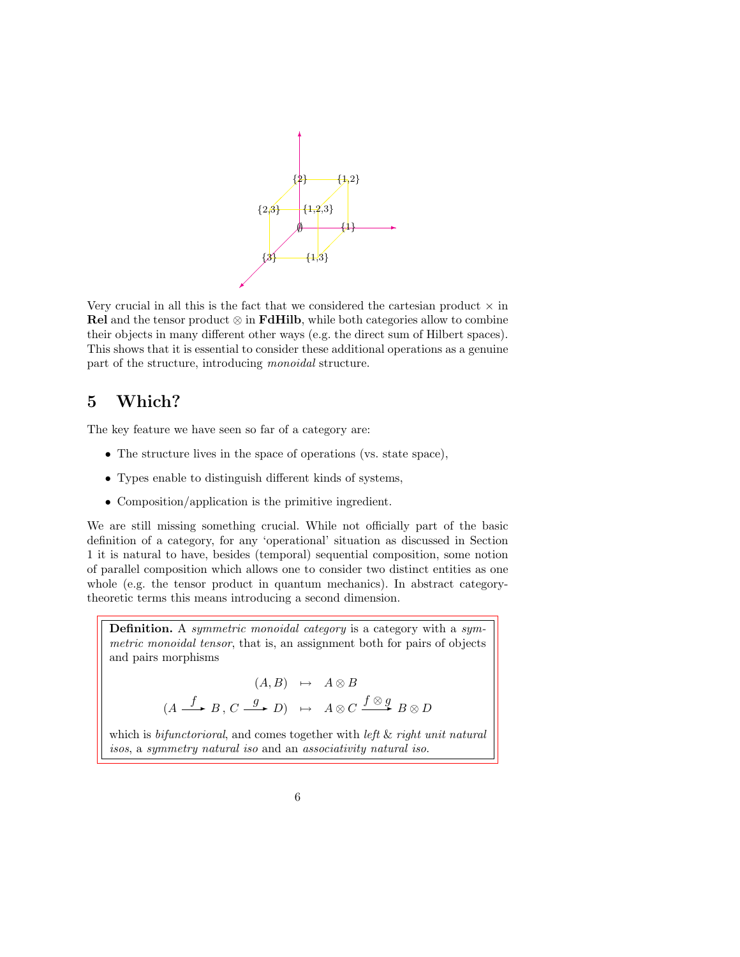

Very crucial in all this is the fact that we considered the cartesian product  $\times$  in Rel and the tensor product  $\otimes$  in FdHilb, while both categories allow to combine their objects in many different other ways (e.g. the direct sum of Hilbert spaces). This shows that it is essential to consider these additional operations as a genuine part of the structure, introducing monoidal structure.

## 5 Which?

The key feature we have seen so far of a category are:

- The structure lives in the space of operations (vs. state space),
- Types enable to distinguish different kinds of systems,
- Composition/application is the primitive ingredient.

We are still missing something crucial. While not officially part of the basic definition of a category, for any 'operational' situation as discussed in Section 1 it is natural to have, besides (temporal) sequential composition, some notion of parallel composition which allows one to consider two distinct entities as one whole (e.g. the tensor product in quantum mechanics). In abstract categorytheoretic terms this means introducing a second dimension.

Definition. A symmetric monoidal category is a category with a symmetric monoidal tensor, that is, an assignment both for pairs of objects and pairs morphisms

$$
(A, B) \mapsto A \otimes B
$$
  

$$
(A \xrightarrow{f} B, C \xrightarrow{g} D) \mapsto A \otimes C \xrightarrow{f \otimes g} B \otimes D
$$

which is *bifunctorioral*, and comes together with *left* & *right unit natural* isos, a symmetry natural iso and an associativity natural iso.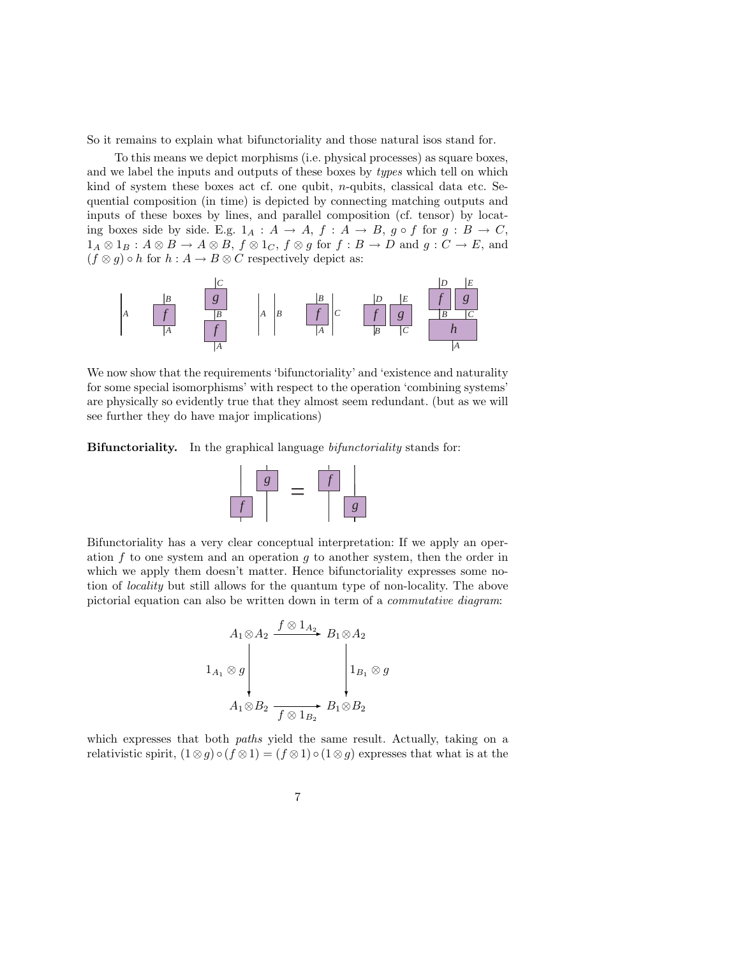So it remains to explain what bifunctoriality and those natural isos stand for.

To this means we depict morphisms (i.e. physical processes) as square boxes, and we label the inputs and outputs of these boxes by *types* which tell on which kind of system these boxes act cf. one qubit,  $n$ -qubits, classical data etc. Sequential composition (in time) is depicted by connecting matching outputs and inputs of these boxes by lines, and parallel composition (cf. tensor) by locating boxes side by side. E.g.  $1_A : A \rightarrow A$ ,  $f : A \rightarrow B$ ,  $g \circ f$  for  $g : B \rightarrow C$ ,  $1_A \otimes 1_B : A \otimes B \to A \otimes B$ ,  $f \otimes 1_C$ ,  $f \otimes g$  for  $f : B \to D$  and  $g : C \to E$ , and  $(f \otimes g) \circ h$  for  $h : A \to B \otimes C$  respectively depict as:



We now show that the requirements 'bifunctoriality' and 'existence and naturality for some special isomorphisms' with respect to the operation 'combining systems' are physically so evidently true that they almost seem redundant. (but as we will see further they do have major implications)

Bifunctoriality. In the graphical language *bifunctoriality* stands for:



Bifunctoriality has a very clear conceptual interpretation: If we apply an operation  $f$  to one system and an operation  $g$  to another system, then the order in which we apply them doesn't matter. Hence bifunctoriality expresses some notion of locality but still allows for the quantum type of non-locality. The above pictorial equation can also be written down in term of a commutative diagram:

$$
A_1 \otimes A_2 \xrightarrow{f \otimes 1_{A_2}} B_1 \otimes A_2
$$
  

$$
1_{A_1} \otimes g \downarrow \qquad \qquad 1_{B_1} \otimes g
$$
  

$$
A_1 \otimes B_2 \xrightarrow{f \otimes 1_{B_2}} B_1 \otimes B_2
$$

which expresses that both *paths* yield the same result. Actually, taking on a relativistic spirit,  $(1 \otimes g) \circ (f \otimes 1) = (f \otimes 1) \circ (1 \otimes g)$  expresses that what is at the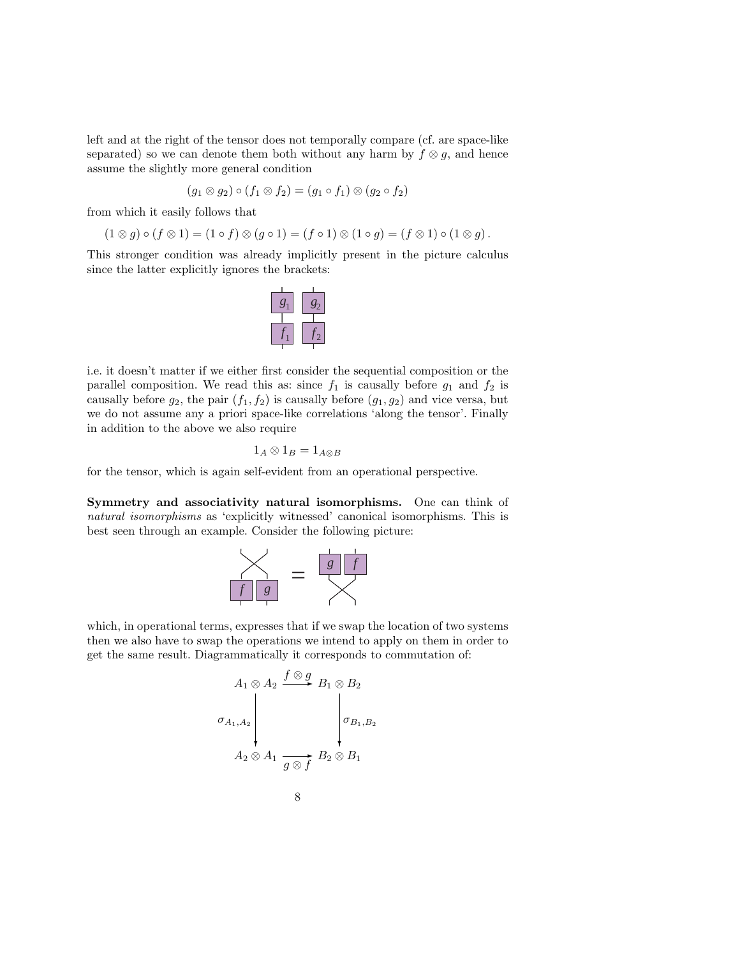left and at the right of the tensor does not temporally compare (cf. are space-like separated) so we can denote them both without any harm by  $f \otimes g$ , and hence assume the slightly more general condition

$$
(g_1 \otimes g_2) \circ (f_1 \otimes f_2) = (g_1 \circ f_1) \otimes (g_2 \circ f_2)
$$

from which it easily follows that

$$
(1 \otimes g) \circ (f \otimes 1) = (1 \circ f) \otimes (g \circ 1) = (f \circ 1) \otimes (1 \circ g) = (f \otimes 1) \circ (1 \otimes g).
$$

This stronger condition was already implicitly present in the picture calculus since the latter explicitly ignores the brackets:



i.e. it doesn't matter if we either first consider the sequential composition or the parallel composition. We read this as: since  $f_1$  is causally before  $g_1$  and  $f_2$  is causally before  $g_2$ , the pair  $(f_1, f_2)$  is causally before  $(g_1, g_2)$  and vice versa, but we do not assume any a priori space-like correlations 'along the tensor'. Finally in addition to the above we also require

$$
1_A \otimes 1_B = 1_{A \otimes B}
$$

for the tensor, which is again self-evident from an operational perspective.

Symmetry and associativity natural isomorphisms. One can think of natural isomorphisms as 'explicitly witnessed' canonical isomorphisms. This is best seen through an example. Consider the following picture:



which, in operational terms, expresses that if we swap the location of two systems then we also have to swap the operations we intend to apply on them in order to get the same result. Diagrammatically it corresponds to commutation of:

$$
\sigma_{A_1, A_2} \begin{pmatrix}\nA_1 \otimes A_2 & \xrightarrow{f \otimes g} B_1 \otimes B_2 \\
\vdots & \vdots & \vdots \\
A_2 \otimes A_1 & \xrightarrow{g \otimes f} B_2 \otimes B_1\n\end{pmatrix}
$$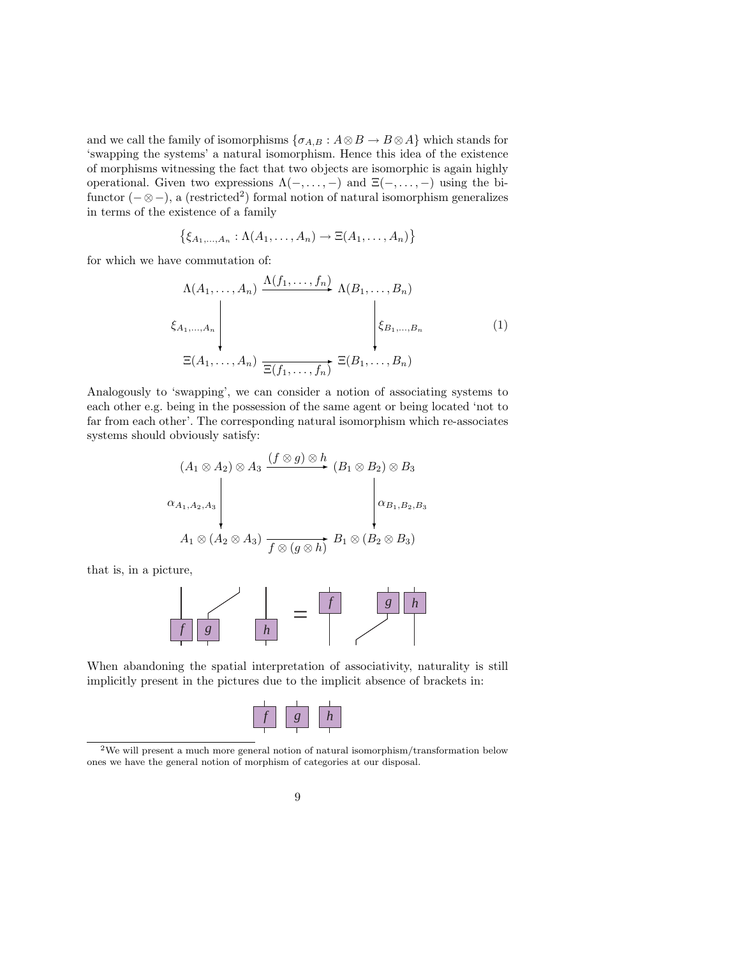and we call the family of isomorphisms  $\{\sigma_{A,B} : A \otimes B \to B \otimes A\}$  which stands for 'swapping the systems' a natural isomorphism. Hence this idea of the existence of morphisms witnessing the fact that two objects are isomorphic is again highly operational. Given two expressions  $\Lambda(-, \ldots, -)$  and  $\Xi(-, \ldots, -)$  using the bifunctor  $(-\otimes -)$ , a (restricted<sup>2</sup>) formal notion of natural isomorphism generalizes in terms of the existence of a family

$$
\{\xi_{A_1,\ldots,A_n}:\Lambda(A_1,\ldots,A_n)\to\Xi(A_1,\ldots,A_n)\}
$$

for which we have commutation of:

$$
\Delta(A_1, \ldots, A_n) \xrightarrow{\Delta(f_1, \ldots, f_n)} \Lambda(B_1, \ldots, B_n)
$$
\n
$$
\xi_{A_1, \ldots, A_n} \downarrow \qquad \qquad \downarrow \xi_{B_1, \ldots, B_n}
$$
\n
$$
\Xi(A_1, \ldots, A_n) \xrightarrow{\Xi(f_1, \ldots, f_n)} \Xi(B_1, \ldots, B_n)
$$
\n
$$
(1)
$$

Analogously to 'swapping', we can consider a notion of associating systems to each other e.g. being in the possession of the same agent or being located 'not to far from each other'. The corresponding natural isomorphism which re-associates systems should obviously satisfy:

$$
(A_1 \otimes A_2) \otimes A_3 \xrightarrow{(f \otimes g) \otimes h} (B_1 \otimes B_2) \otimes B_3
$$
  
\n
$$
\alpha_{A_1, A_2, A_3} \downarrow \qquad \qquad \downarrow \alpha_{B_1, B_2, B_3}
$$
  
\n
$$
A_1 \otimes (A_2 \otimes A_3) \xrightarrow{f \otimes (g \otimes h)} B_1 \otimes (B_2 \otimes B_3)
$$

that is, in a picture,



When abandoning the spatial interpretation of associativity, naturality is still implicitly present in the pictures due to the implicit absence of brackets in:

<sup>2</sup>We will present a much more general notion of natural isomorphism/transformation below ones we have the general notion of morphism of categories at our disposal.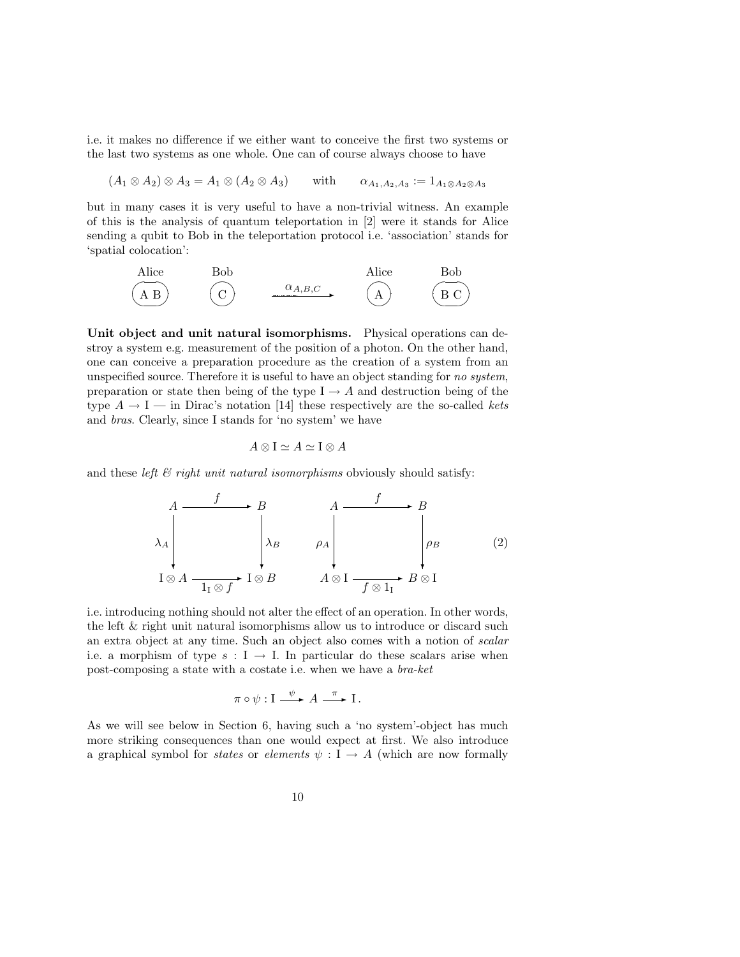i.e. it makes no difference if we either want to conceive the first two systems or the last two systems as one whole. One can of course always choose to have

 $(A_1 \otimes A_2) \otimes A_3 = A_1 \otimes (A_2 \otimes A_3)$  with  $\alpha_{A_1,A_2,A_3}:= 1_{A_1\otimes A_2\otimes A_3}$ 

but in many cases it is very useful to have a non-trivial witness. An example of this is the analysis of quantum teleportation in [2] were it stands for Alice sending a qubit to Bob in the teleportation protocol i.e. 'association' stands for 'spatial colocation':



Unit object and unit natural isomorphisms. Physical operations can destroy a system e.g. measurement of the position of a photon. On the other hand, one can conceive a preparation procedure as the creation of a system from an unspecified source. Therefore it is useful to have an object standing for no system, preparation or state then being of the type  $I \rightarrow A$  and destruction being of the type  $A \rightarrow I$  — in Dirac's notation [14] these respectively are the so-called kets and bras. Clearly, since I stands for 'no system' we have

$$
A \otimes I \simeq A \simeq I \otimes A
$$

and these left  $\mathcal{B}$  right unit natural isomorphisms obviously should satisfy:

$$
\begin{array}{ccc}\nA & \xrightarrow{f} & B \\
\lambda_A & \lambda_B & \lambda_B \\
\hline\nI \otimes A & \xrightarrow{I_1 \otimes f} I \otimes B\n\end{array}\n\qquad\n\begin{array}{ccc}\nA & \xrightarrow{f} & B \\
\downarrow & \downarrow & \downarrow \\
A \otimes I & \xrightarrow{f \otimes I_1} B \otimes I\n\end{array}\n\qquad\n\begin{array}{ccc}\n(B) & \xrightarrow{I_1} B \otimes I\n\end{array}
$$

i.e. introducing nothing should not alter the effect of an operation. In other words, the left & right unit natural isomorphisms allow us to introduce or discard such an extra object at any time. Such an object also comes with a notion of scalar i.e. a morphism of type  $s : I \to I$ . In particular do these scalars arise when post-composing a state with a costate i.e. when we have a bra-ket

$$
\pi \circ \psi : I \xrightarrow{\psi} A \xrightarrow{\pi} I.
$$

As we will see below in Section 6, having such a 'no system'-object has much more striking consequences than one would expect at first. We also introduce a graphical symbol for *states* or *elements*  $\psi : I \to A$  (which are now formally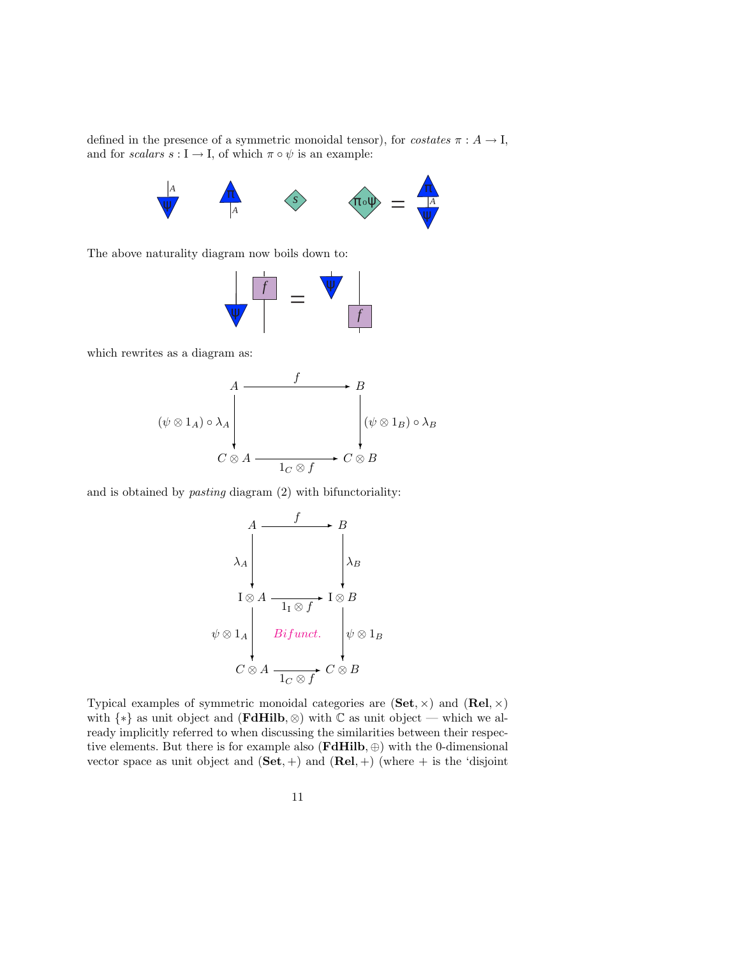defined in the presence of a symmetric monoidal tensor), for *costates*  $\pi : A \to I$ , and for scalars  $s : I \to I$ , of which  $\pi \circ \psi$  is an example:



The above naturality diagram now boils down to:



which rewrites as a diagram as:



and is obtained by pasting diagram (2) with bifunctoriality:

$$
A \xrightarrow{f} B
$$
\n
$$
\lambda_A \qquad \qquad \downarrow A
$$
\n
$$
I \otimes A \xrightarrow{1_I \otimes f} I \otimes B
$$
\n
$$
\psi \otimes 1_A \qquad \qquad Bifunc.
$$
\n
$$
C \otimes A \xrightarrow{1_C \otimes f} C \otimes B
$$

Typical examples of symmetric monoidal categories are  $(\mathbf{Set}, \times)$  and  $(\mathbf{Rel}, \times)$ with  $\{*\}$  as unit object and (**FdHilb**,  $\otimes$ ) with  $\mathbb C$  as unit object — which we already implicitly referred to when discussing the similarities between their respective elements. But there is for example also  $(\mathbf{FdHilb}, \oplus)$  with the 0-dimensional vector space as unit object and  $(Set, +)$  and  $(Rel, +)$  (where  $+$  is the 'disjoint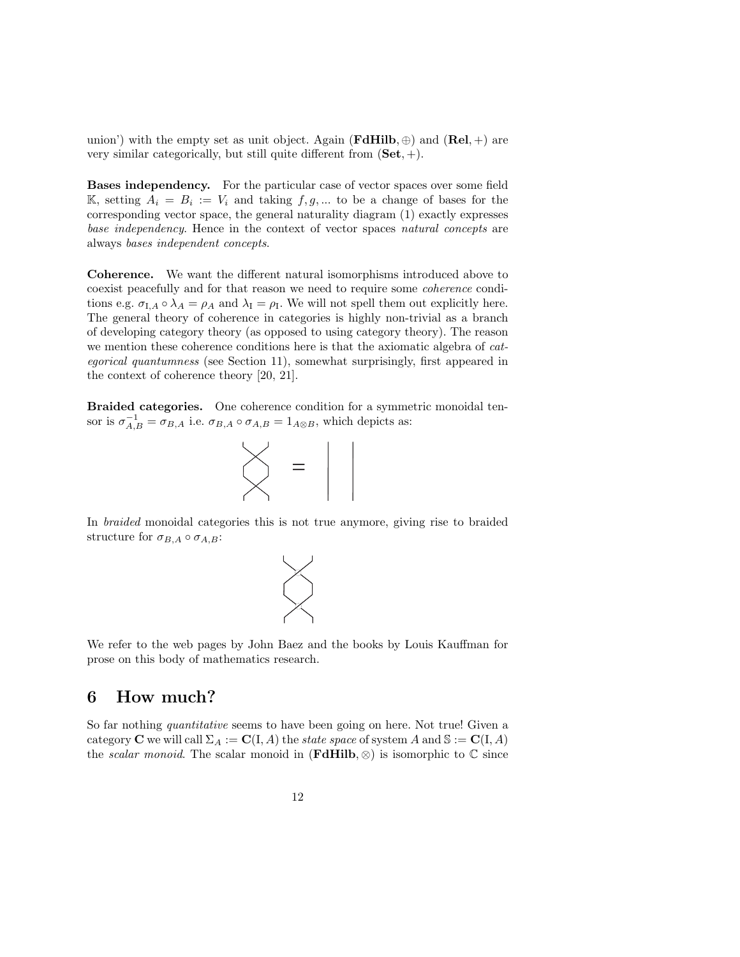union') with the empty set as unit object. Again (**FdHilb**,  $\oplus$ ) and (**Rel**, +) are very similar categorically, but still quite different from  $(\mathbf{Set}, +)$ .

Bases independency. For the particular case of vector spaces over some field K, setting  $A_i = B_i := V_i$  and taking  $f, g, \dots$  to be a change of bases for the corresponding vector space, the general naturality diagram (1) exactly expresses base independency. Hence in the context of vector spaces natural concepts are always bases independent concepts.

Coherence. We want the different natural isomorphisms introduced above to coexist peacefully and for that reason we need to require some coherence conditions e.g.  $\sigma_{I,A} \circ \lambda_A = \rho_A$  and  $\lambda_I = \rho_I$ . We will not spell them out explicitly here. The general theory of coherence in categories is highly non-trivial as a branch of developing category theory (as opposed to using category theory). The reason we mention these coherence conditions here is that the axiomatic algebra of categorical quantumness (see Section 11), somewhat surprisingly, first appeared in the context of coherence theory [20, 21].

Braided categories. One coherence condition for a symmetric monoidal tensor is  $\sigma_{A,B}^{-1} = \sigma_{B,A}$  i.e.  $\sigma_{B,A} \circ \sigma_{A,B} = 1_{A \otimes B}$ , which depicts as:



In braided monoidal categories this is not true anymore, giving rise to braided structure for  $\sigma_{B,A} \circ \sigma_{A,B}$ :



We refer to the web pages by John Baez and the books by Louis Kauffman for prose on this body of mathematics research.

## 6 How much?

So far nothing *quantitative* seems to have been going on here. Not true! Given a category **C** we will call  $\Sigma_A := \mathbf{C}(\mathbf{I}, A)$  the *state space* of system A and  $\mathbb{S} := \mathbf{C}(\mathbf{I}, A)$ the scalar monoid. The scalar monoid in  $(\mathbf{FdHilb}, \otimes)$  is isomorphic to  $\mathbb C$  since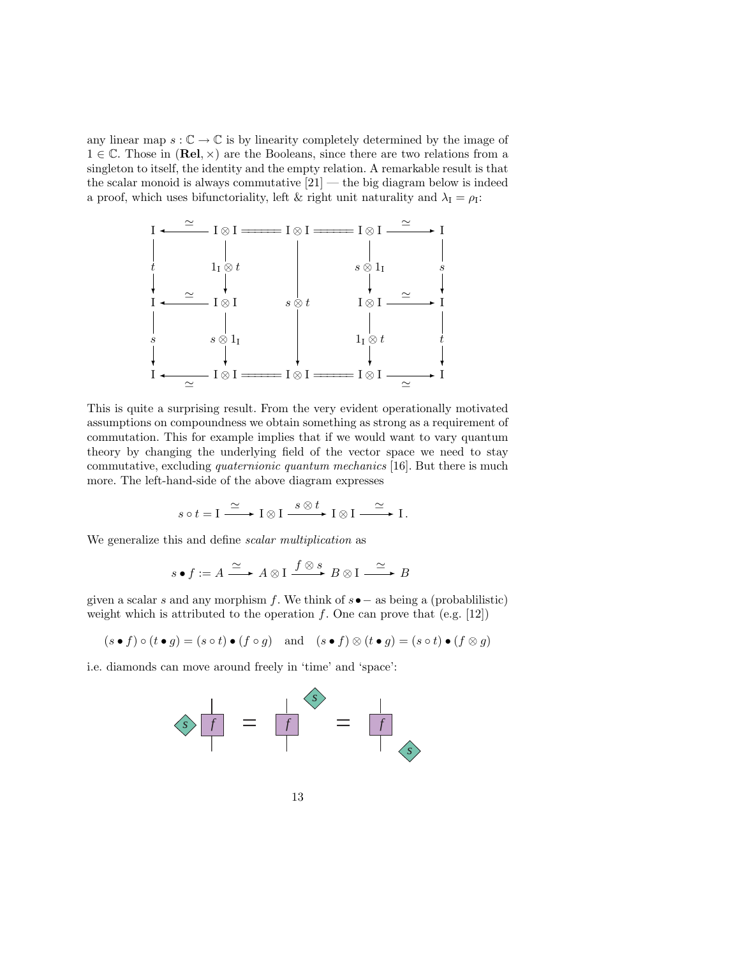any linear map  $s : \mathbb{C} \to \mathbb{C}$  is by linearity completely determined by the image of  $1 \in \mathbb{C}$ . Those in  $(\text{Rel}, \times)$  are the Booleans, since there are two relations from a singleton to itself, the identity and the empty relation. A remarkable result is that the scalar monoid is always commutative  $[21]$  — the big diagram below is indeed a proof, which uses bifunctoriality, left & right unit naturality and  $\lambda_I = \rho_I$ :



This is quite a surprising result. From the very evident operationally motivated assumptions on compoundness we obtain something as strong as a requirement of commutation. This for example implies that if we would want to vary quantum theory by changing the underlying field of the vector space we need to stay commutative, excluding quaternionic quantum mechanics [16]. But there is much more. The left-hand-side of the above diagram expresses

$$
s \circ t = \mathrm{I} \xrightarrow{\simeq} \mathrm{I} \otimes \mathrm{I} \xrightarrow{s \otimes t} \mathrm{I} \otimes \mathrm{I} \xrightarrow{\simeq} \mathrm{I}.
$$

We generalize this and define *scalar multiplication* as

$$
s \bullet f := A \xrightarrow{\simeq} A \otimes I \xrightarrow{f \otimes s} B \otimes I \xrightarrow{\simeq} B
$$

given a scalar s and any morphism f. We think of  $s \bullet$  – as being a (probabilistic) weight which is attributed to the operation  $f$ . One can prove that (e.g. [12])

$$
(s \bullet f) \circ (t \bullet g) = (s \circ t) \bullet (f \circ g) \quad \text{and} \quad (s \bullet f) \otimes (t \bullet g) = (s \circ t) \bullet (f \otimes g)
$$

i.e. diamonds can move around freely in 'time' and 'space':

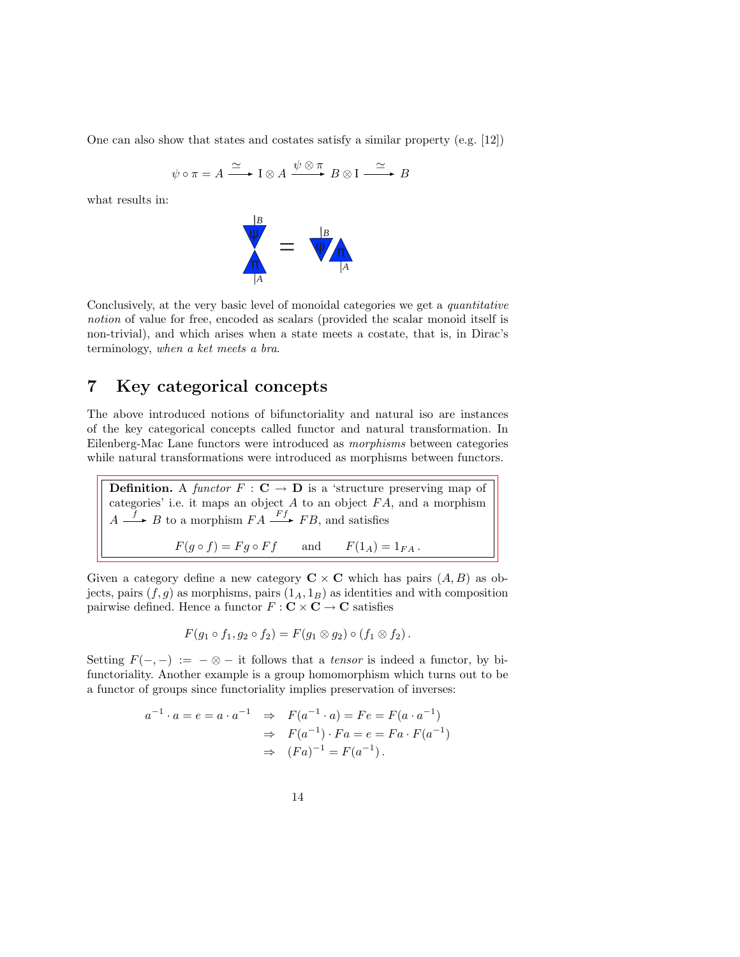One can also show that states and costates satisfy a similar property (e.g. [12])

$$
\psi \circ \pi = A \xrightarrow{\simeq} I \otimes A \xrightarrow{\psi \otimes \pi} B \otimes I \xrightarrow{\simeq} B
$$

what results in:



Conclusively, at the very basic level of monoidal categories we get a quantitative notion of value for free, encoded as scalars (provided the scalar monoid itself is non-trivial), and which arises when a state meets a costate, that is, in Dirac's terminology, when a ket meets a bra.

#### 7 Key categorical concepts

The above introduced notions of bifunctoriality and natural iso are instances of the key categorical concepts called functor and natural transformation. In Eilenberg-Mac Lane functors were introduced as morphisms between categories while natural transformations were introduced as morphisms between functors.

**Definition.** A functor  $F : \mathbf{C} \to \mathbf{D}$  is a 'structure preserving map of categories' i.e. it maps an object  $A$  to an object  $FA$ , and a morphism  $A \xrightarrow{f} B$  to a morphism  $FA \xrightarrow{Ff} FB$ , and satisfies  $F(g \circ f) = Fg \circ Ff$  and  $F(1_A) = 1_{FA}$ .

Given a category define a new category  $C \times C$  which has pairs  $(A, B)$  as objects, pairs  $(f, g)$  as morphisms, pairs  $(1_A, 1_B)$  as identities and with composition pairwise defined. Hence a functor  $F : \mathbf{C} \times \mathbf{C} \to \mathbf{C}$  satisfies

$$
F(g_1 \circ f_1, g_2 \circ f_2) = F(g_1 \otimes g_2) \circ (f_1 \otimes f_2).
$$

Setting  $F(-, -) := -\otimes -$  it follows that a *tensor* is indeed a functor, by bifunctoriality. Another example is a group homomorphism which turns out to be a functor of groups since functoriality implies preservation of inverses:

$$
a^{-1} \cdot a = e = a \cdot a^{-1} \Rightarrow F(a^{-1} \cdot a) = Fe = F(a \cdot a^{-1})
$$
  
 $\Rightarrow F(a^{-1}) \cdot Fa = e = Fa \cdot F(a^{-1})$   
 $\Rightarrow (Fa)^{-1} = F(a^{-1}).$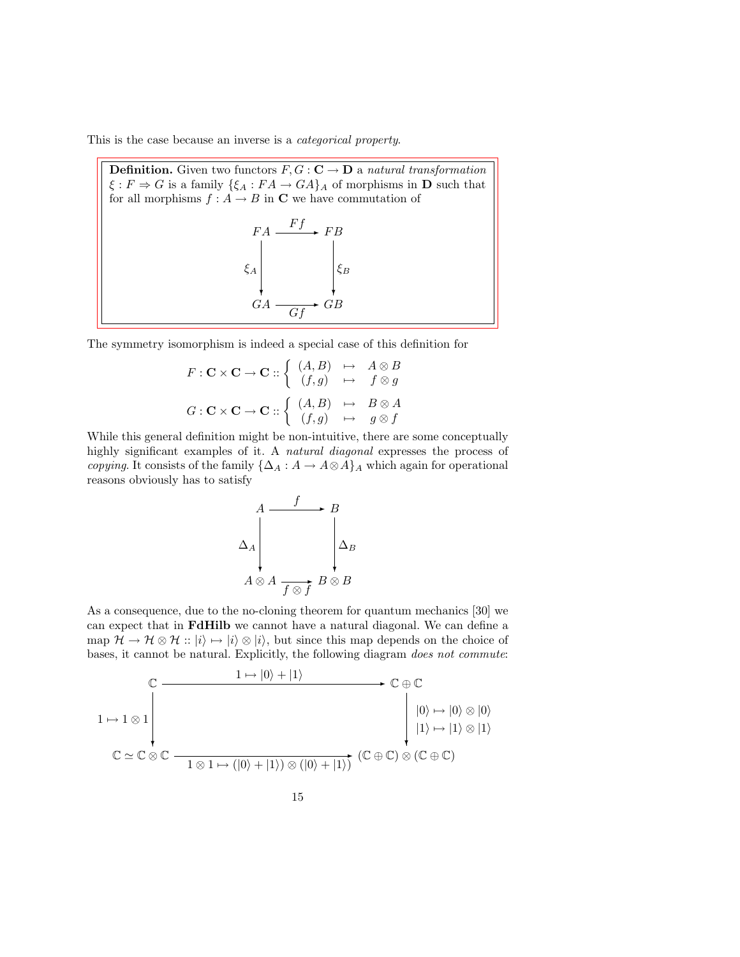This is the case because an inverse is a categorical property.

**Definition.** Given two functors  $F, G : \mathbb{C} \to \mathbb{D}$  a natural transformation  $\xi : F \Rightarrow G$  is a family  $\{\xi_A : FA \to GA\}_A$  of morphisms in **D** such that for all morphisms  $f : A \to B$  in **C** we have commutation of  $FA \xrightarrow{Ff} FB$  $\xi_A$  $\xi_B$ 

GA ❄  $\overrightarrow{Gf}$   $\overrightarrow{GB}$ ❄

The symmetry isomorphism is indeed a special case of this definition for

$$
F: \mathbf{C} \times \mathbf{C} \to \mathbf{C} :: \begin{cases} (A, B) & \mapsto & A \otimes B \\ (f, g) & \mapsto & f \otimes g \end{cases}
$$

$$
G: \mathbf{C} \times \mathbf{C} \to \mathbf{C} :: \begin{cases} (A, B) & \mapsto & B \otimes A \\ (f, g) & \mapsto & g \otimes f \end{cases}
$$

While this general definition might be non-intuitive, there are some conceptually highly significant examples of it. A natural diagonal expresses the process of copying. It consists of the family  $\{\Delta_A : A \to A \otimes A\}$ <sub>A</sub> which again for operational reasons obviously has to satisfy

$$
\begin{array}{ccc}\nA & f & B \\
\Delta_A & & \Delta_B \\
A \otimes A & & \Delta_B\n\end{array}
$$

As a consequence, due to the no-cloning theorem for quantum mechanics [30] we can expect that in FdHilb we cannot have a natural diagonal. We can define a map  $\mathcal{H} \to \mathcal{H} \otimes \mathcal{H}$  ::  $|i\rangle \mapsto |i\rangle \otimes |i\rangle$ , but since this map depends on the choice of bases, it cannot be natural. Explicitly, the following diagram does not commute:

$$
\begin{array}{ccc}\n\mathbb{C} & & 1 \mapsto |0\rangle + |1\rangle & & \mathbb{C} \oplus \mathbb{C} \\
1 \mapsto 1 \otimes 1 & & |0\rangle \mapsto |0\rangle \otimes |0\rangle \\
& & & |0\rangle \mapsto |0\rangle \otimes |0\rangle \\
& & & |1\rangle \mapsto |1\rangle \otimes |1\rangle \\
& & \mathbb{C} \simeq \mathbb{C} \otimes \mathbb{C} & & \overline{1 \otimes 1 \mapsto (|0\rangle + |1\rangle) \otimes (|0\rangle + |1\rangle)} & (\mathbb{C} \oplus \mathbb{C}) \otimes (\mathbb{C} \oplus \mathbb{C})\n\end{array}
$$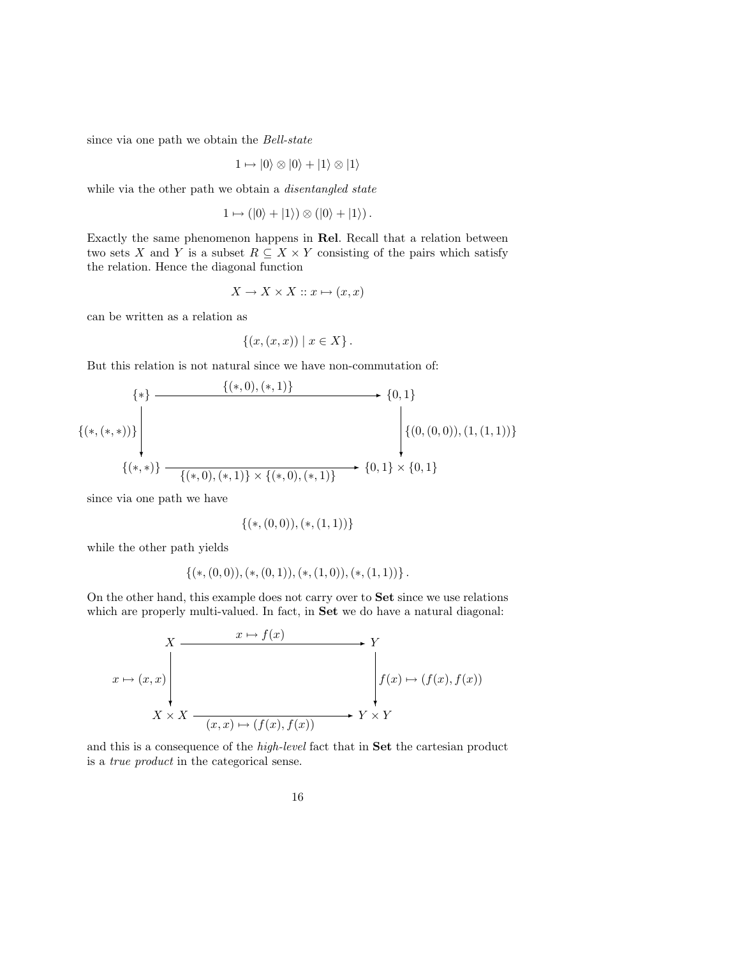since via one path we obtain the Bell-state

$$
1 \mapsto |0\rangle \otimes |0\rangle + |1\rangle \otimes |1\rangle
$$

while via the other path we obtain a *disentangled state* 

$$
1 \mapsto (|0\rangle + |1\rangle) \otimes (|0\rangle + |1\rangle).
$$

Exactly the same phenomenon happens in Rel. Recall that a relation between two sets X and Y is a subset  $R \subseteq X \times Y$  consisting of the pairs which satisfy the relation. Hence the diagonal function

$$
X \to X \times X :: x \mapsto (x, x)
$$

can be written as a relation as

$$
\{(x,(x,x)) \mid x \in X\}.
$$

But this relation is not natural since we have non-commutation of:

$$
\{\ast\} \longrightarrow \{0,1\}
$$
  

$$
\{(*,(*,*)\} \times \{\ast\})
$$
  

$$
\{(*,(*,*)\} \longrightarrow \{0,1\} \times \{(0,0,0), (1,(1,1))\}
$$
  

$$
\{(*,*)\} \longrightarrow \{(*,0),(*,1)\} \times \{(*,0),(*,1)\} \longrightarrow \{0,1\} \times \{0,1\}
$$

since via one path we have

$$
\{(*,(0,0)),(*,(1,1))\}
$$

while the other path yields

$$
\{(*, (0,0)), (*, (0,1)), (*, (1,0)), (*, (1,1))\}.
$$

On the other hand, this example does not carry over to Set since we use relations which are properly multi-valued. In fact, in **Set** we do have a natural diagonal:

$$
x \mapsto (x, x)
$$
\n
$$
x \mapsto (x, x)
$$
\n
$$
X \times X
$$
\n
$$
X \times X
$$
\n
$$
x \mapsto (f(x), f(x))
$$
\n
$$
Y \times Y
$$
\n
$$
Y \times Y
$$

and this is a consequence of the high-level fact that in Set the cartesian product is a true product in the categorical sense.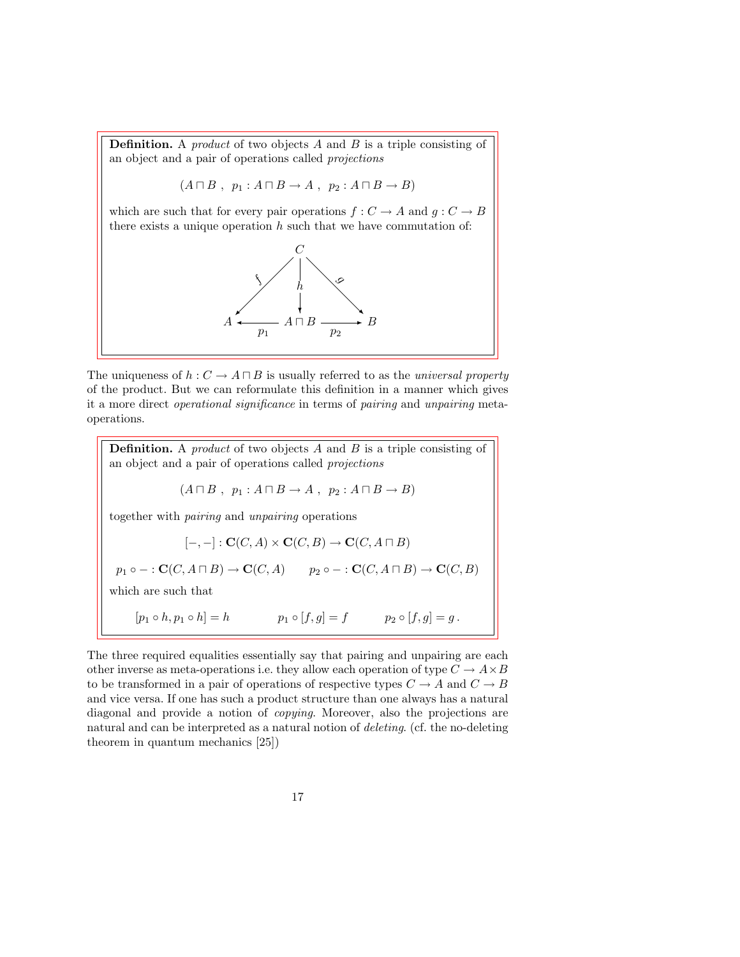**Definition.** A *product* of two objects  $A$  and  $B$  is a triple consisting of an object and a pair of operations called projections

$$
(A \sqcap B , p_1 : A \sqcap B \to A , p_2 : A \sqcap B \to B)
$$

which are such that for every pair operations  $f: C \to A$  and  $g: C \to B$ there exists a unique operation  $h$  such that we have commutation of:



The uniqueness of  $h: C \to A \sqcap B$  is usually referred to as the *universal property* of the product. But we can reformulate this definition in a manner which gives it a more direct operational significance in terms of pairing and unpairing metaoperations.

**Definition.** A *product* of two objects A and B is a triple consisting of an object and a pair of operations called projections

$$
(A \sqcap B , p_1 : A \sqcap B \to A , p_2 : A \sqcap B \to B)
$$

together with pairing and unpairing operations

$$
[-,-]: \mathbf{C}(C,A) \times \mathbf{C}(C,B) \to \mathbf{C}(C,A \sqcap B)
$$
  
\n
$$
p_1 \circ -: \mathbf{C}(C,A \sqcap B) \to \mathbf{C}(C,A) \qquad p_2 \circ -: \mathbf{C}(C,A \sqcap B) \to \mathbf{C}(C,B)
$$
  
\nwhich are such that  
\n
$$
[p_1 \circ h, p_1 \circ h] = h \qquad p_1 \circ [f,g] = f \qquad p_2 \circ [f,g] = g.
$$

The three required equalities essentially say that pairing and unpairing are each other inverse as meta-operations i.e. they allow each operation of type  $C \to A \times B$ to be transformed in a pair of operations of respective types  $C \rightarrow A$  and  $C \rightarrow B$ and vice versa. If one has such a product structure than one always has a natural diagonal and provide a notion of copying. Moreover, also the projections are natural and can be interpreted as a natural notion of deleting. (cf. the no-deleting theorem in quantum mechanics [25])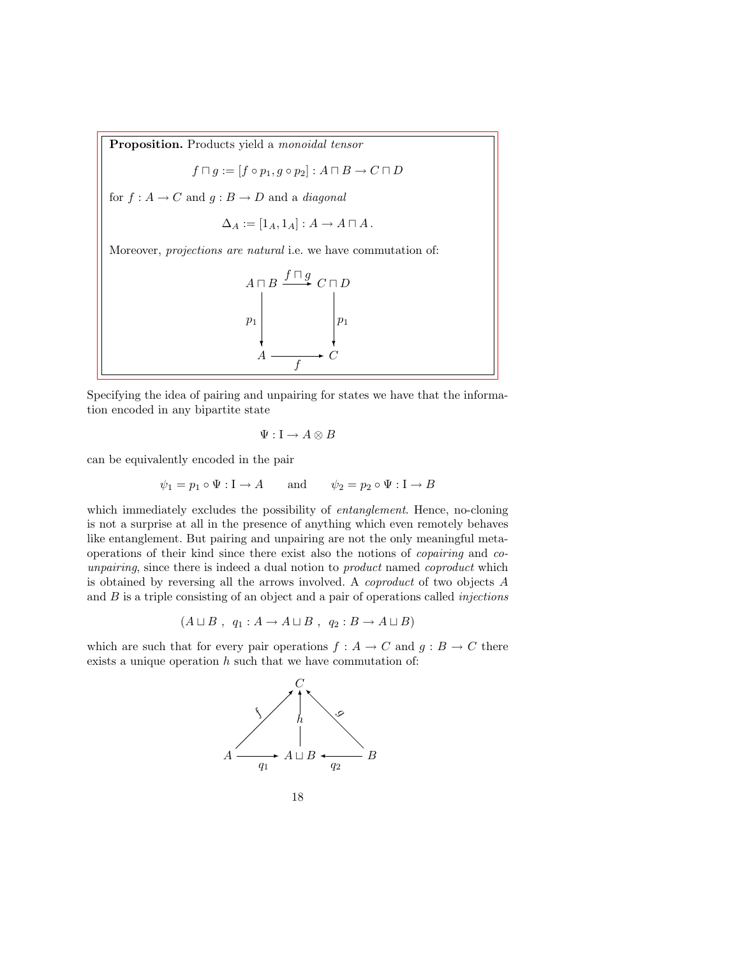Proposition. Products yield a monoidal tensor

$$
f\sqcap g:=[f\circ p_1, g\circ p_2]:A\sqcap B\to C\sqcap D
$$

for  $f : A \to C$  and  $g : B \to D$  and a *diagonal* 

$$
\Delta_A := [1_A, 1_A] : A \to A \sqcap A \, .
$$

Moreover, projections are natural i.e. we have commutation of:

$$
A \sqcap B \xrightarrow{f \sqcap g} C \sqcap D
$$
\n
$$
p_1
$$
\n
$$
A \longrightarrow C
$$
\n
$$
B \qquad p_1
$$
\n
$$
B \qquad p_2
$$
\n
$$
B \qquad P_1
$$

Specifying the idea of pairing and unpairing for states we have that the information encoded in any bipartite state

$$
\Psi:\mathbf{I}\to A\otimes B
$$

can be equivalently encoded in the pair

$$
\psi_1 = p_1 \circ \Psi : \mathbf{I} \to A
$$
 and  $\psi_2 = p_2 \circ \Psi : \mathbf{I} \to B$ 

which immediately excludes the possibility of *entanglement*. Hence, no-cloning is not a surprise at all in the presence of anything which even remotely behaves like entanglement. But pairing and unpairing are not the only meaningful metaoperations of their kind since there exist also the notions of copairing and counpairing, since there is indeed a dual notion to *product* named *coproduct* which is obtained by reversing all the arrows involved. A coproduct of two objects A and  $B$  is a triple consisting of an object and a pair of operations called *injections* 

$$
(A \sqcup B , q_1 : A \to A \sqcup B , q_2 : B \to A \sqcup B)
$$

which are such that for every pair operations  $f : A \to C$  and  $g : B \to C$  there exists a unique operation  $h$  such that we have commutation of:

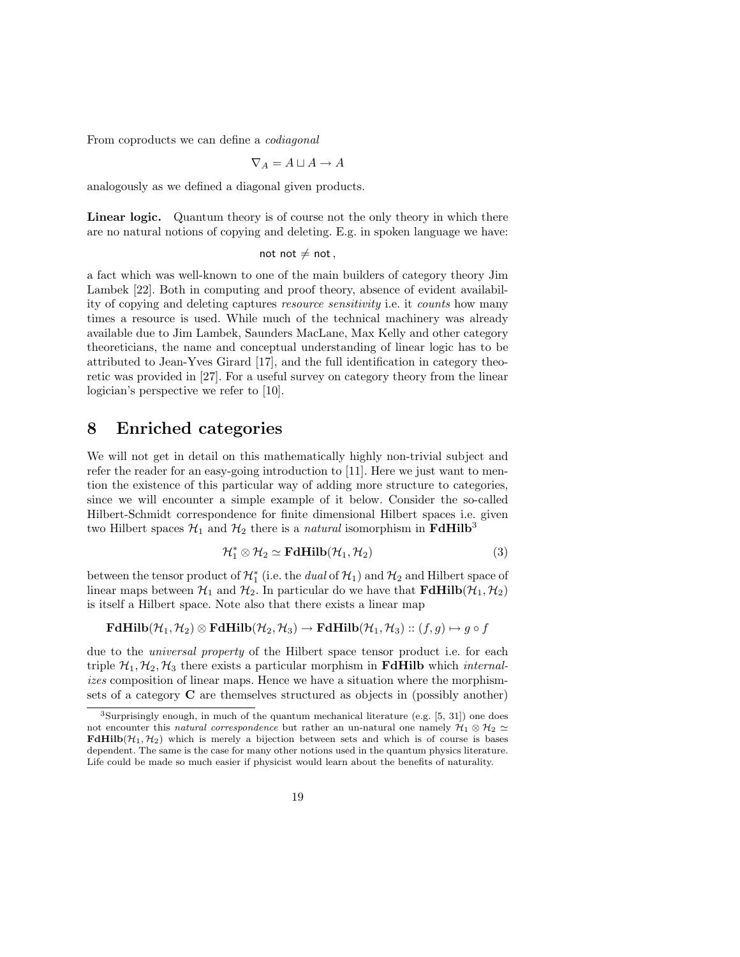From coproducts we can define a codiagonal

$$
\nabla_A = A \sqcup A \to A
$$

analogously as we defined a diagonal given products.

Linear logic. Quantum theory is of course not the only theory in which there are no natural notions of copying and deleting. E.g. in spoken language we have:

not not  $\neq$  not,

a fact which was well-known to one of the main builders of category theory Jim Lambek [22]. Both in computing and proof theory, absence of evident availability of copying and deleting captures resource sensitivity i.e. it counts how many times a resource is used. While much of the technical machinery was already available due to Jim Lambek, Saunders MacLane, Max Kelly and other category theoreticians, the name and conceptual understanding of linear logic has to be attributed to Jean-Yves Girard [17], and the full identification in category theoretic was provided in [27]. For a useful survey on category theory from the linear logician's perspective we refer to [10].

#### 8 Enriched categories

We will not get in detail on this mathematically highly non-trivial subject and refer the reader for an easy-going introduction to [11]. Here we just want to mention the existence of this particular way of adding more structure to categories, since we will encounter a simple example of it below. Consider the so-called Hilbert-Schmidt correspondence for finite dimensional Hilbert spaces i.e. given two Hilbert spaces  $\mathcal{H}_1$  and  $\mathcal{H}_2$  there is a *natural* isomorphism in **FdHilb**<sup>3</sup>

$$
\mathcal{H}_1^* \otimes \mathcal{H}_2 \simeq \mathbf{FdHilb}(\mathcal{H}_1, \mathcal{H}_2)
$$
 (3)

between the tensor product of  $\mathcal{H}_1^*$  (i.e. the *dual* of  $\mathcal{H}_1$ ) and  $\mathcal{H}_2$  and Hilbert space of linear maps between  $\mathcal{H}_1$  and  $\mathcal{H}_2$ . In particular do we have that  $\mathbf{FdHilb}(\mathcal{H}_1, \mathcal{H}_2)$ is itself a Hilbert space. Note also that there exists a linear map

$$
\mathbf{FdHilb}(\mathcal{H}_1, \mathcal{H}_2) \otimes \mathbf{FdHilb}(\mathcal{H}_2, \mathcal{H}_3) \to \mathbf{FdHilb}(\mathcal{H}_1, \mathcal{H}_3) :: (f, g) \mapsto g \circ f
$$

due to the universal property of the Hilbert space tensor product i.e. for each triple  $\mathcal{H}_1, \mathcal{H}_2, \mathcal{H}_3$  there exists a particular morphism in **FdHilb** which *internal*izes composition of linear maps. Hence we have a situation where the morphismsets of a category C are themselves structured as objects in (possibly another)

<sup>3</sup>Surprisingly enough, in much of the quantum mechanical literature (e.g. [5, 31]) one does not encounter this natural correspondence but rather an un-natural one namely  $\mathcal{H}_1 \otimes \mathcal{H}_2 \simeq$ **FdHilb** $(\mathcal{H}_1, \mathcal{H}_2)$  which is merely a bijection between sets and which is of course is bases dependent. The same is the case for many other notions used in the quantum physics literature. Life could be made so much easier if physicist would learn about the benefits of naturality.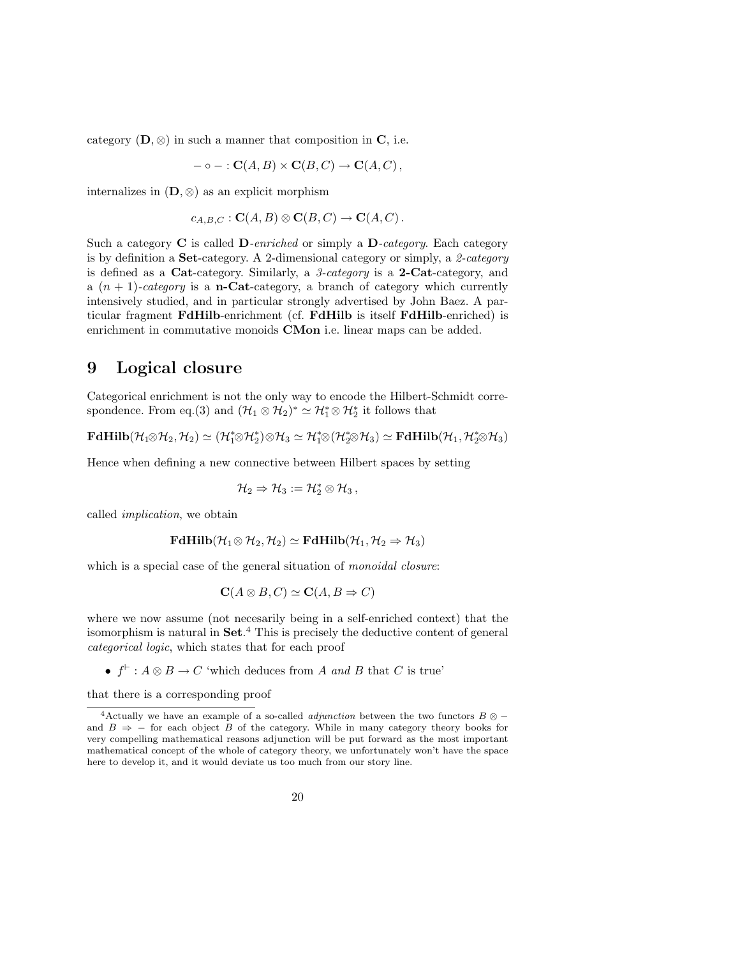category  $(D, \otimes)$  in such a manner that composition in C, i.e.

$$
-\circ- : \mathbf{C}(A,B) \times \mathbf{C}(B,C) \to \mathbf{C}(A,C),
$$

internalizes in  $(D, \otimes)$  as an explicit morphism

$$
c_{A,B,C} : \mathbf{C}(A,B) \otimes \mathbf{C}(B,C) \to \mathbf{C}(A,C).
$$

Such a category  $C$  is called  $D$ -enriched or simply a  $D$ -category. Each category is by definition a **Set**-category. A 2-dimensional category or simply, a 2-category is defined as a Cat-category. Similarly, a 3-category is a 2-Cat-category, and a  $(n + 1)$ -category is a **n-Cat**-category, a branch of category which currently intensively studied, and in particular strongly advertised by John Baez. A particular fragment FdHilb-enrichment (cf. FdHilb is itself FdHilb-enriched) is enrichment in commutative monoids **CMon** i.e. linear maps can be added.

#### 9 Logical closure

Categorical enrichment is not the only way to encode the Hilbert-Schmidt correspondence. From eq.(3) and  $(\mathcal{H}_1 \otimes \mathcal{H}_2)^* \simeq \mathcal{H}_1^* \otimes \mathcal{H}_2^*$  it follows that

 $\mathbf{FdHilb}(\mathcal{H}_1\otimes \mathcal{H}_2,\mathcal{H}_2)\simeq (\mathcal{H}_1^*\otimes \mathcal{H}_2^*)\otimes \mathcal{H}_3\simeq \mathcal{H}_1^*\otimes (\mathcal{H}_2^*\otimes \mathcal{H}_3)\simeq \mathbf{FdHilb}(\mathcal{H}_1,\mathcal{H}_2^*\otimes \mathcal{H}_3)$ 

Hence when defining a new connective between Hilbert spaces by setting

$$
\mathcal{H}_2 \Rightarrow \mathcal{H}_3 := \mathcal{H}_2^* \otimes \mathcal{H}_3\,,
$$

called implication, we obtain

$$
\mathbf{FdHilb}(\mathcal{H}_1\otimes \mathcal{H}_2, \mathcal{H}_2)\simeq \mathbf{FdHilb}(\mathcal{H}_1, \mathcal{H}_2\Rightarrow \mathcal{H}_3)
$$

which is a special case of the general situation of *monoidal closure*:

$$
C(A \otimes B, C) \simeq C(A, B \Rightarrow C)
$$

where we now assume (not necesarily being in a self-enriched context) that the isomorphism is natural in Set. <sup>4</sup> This is precisely the deductive content of general categorical logic, which states that for each proof

•  $f^{\vdash}$ :  $A \otimes B \to C$  'which deduces from A and B that C is true'

that there is a corresponding proof

<sup>&</sup>lt;sup>4</sup>Actually we have an example of a so-called *adjunction* between the two functors  $B \otimes$ and  $B \Rightarrow -$  for each object B of the category. While in many category theory books for very compelling mathematical reasons adjunction will be put forward as the most important mathematical concept of the whole of category theory, we unfortunately won't have the space here to develop it, and it would deviate us too much from our story line.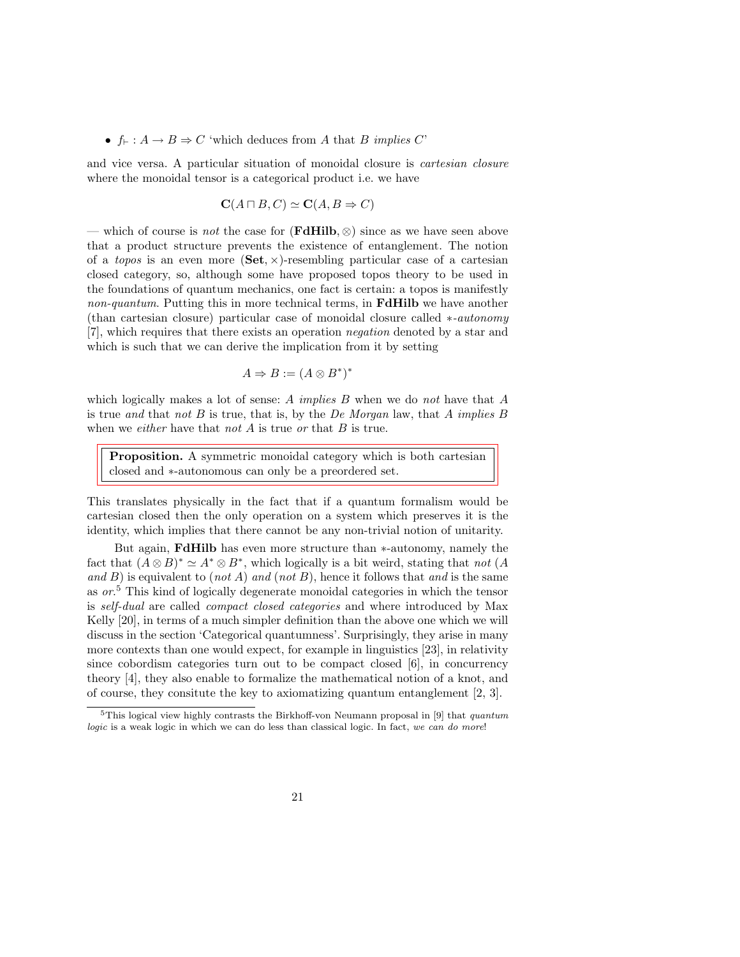#### •  $f_{\vdash} : A \to B \Rightarrow C$  'which deduces from A that B implies C'

and vice versa. A particular situation of monoidal closure is cartesian closure where the monoidal tensor is a categorical product i.e. we have

$$
C(A \sqcap B, C) \simeq C(A, B \Rightarrow C)
$$

— which of course is *not* the case for  $(\mathbf{FdHilb}, \otimes)$  since as we have seen above that a product structure prevents the existence of entanglement. The notion of a *topos* is an even more  $(\mathbf{Set}, \times)$ -resembling particular case of a cartesian closed category, so, although some have proposed topos theory to be used in the foundations of quantum mechanics, one fact is certain: a topos is manifestly non-quantum. Putting this in more technical terms, in **FdHilb** we have another (than cartesian closure) particular case of monoidal closure called ∗-autonomy [7], which requires that there exists an operation negation denoted by a star and which is such that we can derive the implication from it by setting

$$
A \Rightarrow B := (A \otimes B^*)^*
$$

which logically makes a lot of sense: A *implies B* when we do not have that  $A$ is true and that not B is true, that is, by the De Morgan law, that A implies B when we *either* have that *not*  $A$  is true or that  $B$  is true.

Proposition. A symmetric monoidal category which is both cartesian closed and ∗-autonomous can only be a preordered set.

This translates physically in the fact that if a quantum formalism would be cartesian closed then the only operation on a system which preserves it is the identity, which implies that there cannot be any non-trivial notion of unitarity.

But again, FdHilb has even more structure than ∗-autonomy, namely the fact that  $(A \otimes B)^* \simeq A^* \otimes B^*$ , which logically is a bit weird, stating that not  $(A \otimes B)^* \simeq A^* \otimes B^*$ , which logically is a bit weird, stating that not  $(A \otimes B)^* \simeq A^* \otimes B^*$ and  $B$ ) is equivalent to (not A) and (not B), hence it follows that and is the same as or. <sup>5</sup> This kind of logically degenerate monoidal categories in which the tensor is self-dual are called compact closed categories and where introduced by Max Kelly [20], in terms of a much simpler definition than the above one which we will discuss in the section 'Categorical quantumness'. Surprisingly, they arise in many more contexts than one would expect, for example in linguistics [23], in relativity since cobordism categories turn out to be compact closed [6], in concurrency theory [4], they also enable to formalize the mathematical notion of a knot, and of course, they consitute the key to axiomatizing quantum entanglement [2, 3].

<sup>&</sup>lt;sup>5</sup>This logical view highly contrasts the Birkhoff-von Neumann proposal in [9] that *quantum* logic is a weak logic in which we can do less than classical logic. In fact, we can do more!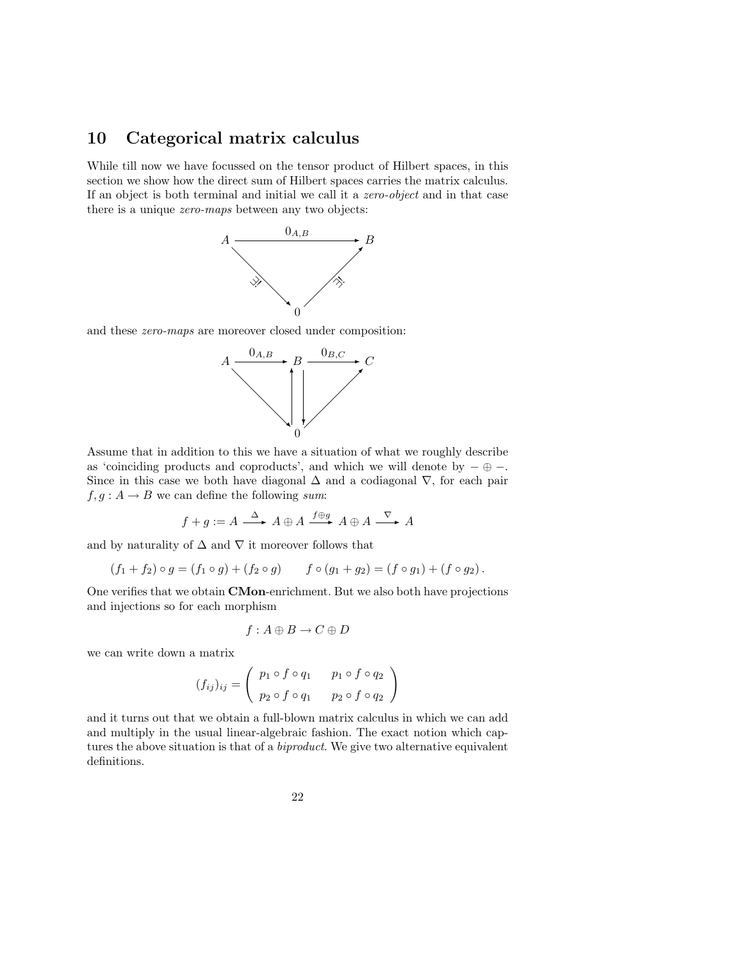### 10 Categorical matrix calculus

While till now we have focussed on the tensor product of Hilbert spaces, in this section we show how the direct sum of Hilbert spaces carries the matrix calculus. If an object is both terminal and initial we call it a zero-object and in that case there is a unique zero-maps between any two objects:



and these zero-maps are moreover closed under composition:



Assume that in addition to this we have a situation of what we roughly describe as 'coinciding products and coproducts', and which we will denote by  $-\oplus -$ . Since in this case we both have diagonal  $\Delta$  and a codiagonal  $\nabla$ , for each pair  $f, g: A \rightarrow B$  we can define the following sum:

$$
f+g:=A\stackrel{\Delta}{\longrightarrow}A\oplus A\stackrel{f\oplus g}{\longrightarrow}A\oplus A\stackrel{\nabla}{\longrightarrow}A
$$

and by naturality of  $\Delta$  and  $\nabla$  it moreover follows that

 $(f_1 + f_2) \circ g = (f_1 \circ g) + (f_2 \circ g)$   $f \circ (g_1 + g_2) = (f \circ g_1) + (f \circ g_2).$ 

One verifies that we obtain CMon-enrichment. But we also both have projections and injections so for each morphism

$$
f:A\oplus B\to C\oplus D
$$

we can write down a matrix

$$
(f_{ij})_{ij} = \begin{pmatrix} p_1 \circ f \circ q_1 & p_1 \circ f \circ q_2 \\ p_2 \circ f \circ q_1 & p_2 \circ f \circ q_2 \end{pmatrix}
$$

and it turns out that we obtain a full-blown matrix calculus in which we can add and multiply in the usual linear-algebraic fashion. The exact notion which captures the above situation is that of a *biproduct*. We give two alternative equivalent definitions.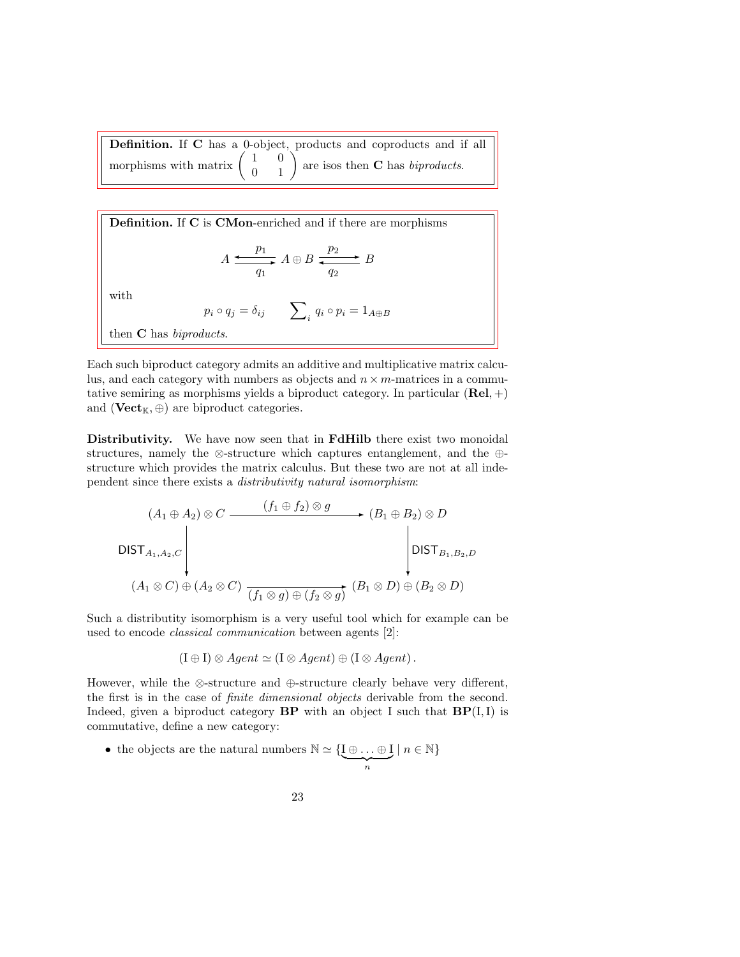Definition. If C has a 0-object, products and coproducts and if all morphisms with matrix 1 0  $\begin{pmatrix} 1 & 0 \\ 0 & 1 \end{pmatrix}$ are isos then C has biproducts.

Definition. If C is CMon-enriched and if there are morphisms  $A \stackrel{p_1}{\longleftarrow}$  $q_1$  $\frac{p_1}{\longrightarrow} A \oplus B \xrightarrow{p_2}$  $q_2$ B with  $p_i \circ q_j = \delta_{ij}$   $\sum_i q_i \circ p_i = 1_{A \oplus B}$ then **C** has *biproducts*.

Each such biproduct category admits an additive and multiplicative matrix calculus, and each category with numbers as objects and  $n \times m$ -matrices in a commutative semiring as morphisms yields a biproduct category. In particular  $(Rel, +)$ and ( $Vect_{\mathbb{K}}, \oplus$ ) are biproduct categories.

Distributivity. We have now seen that in FdHilb there exist two monoidal structures, namely the ⊗-structure which captures entanglement, and the ⊕ structure which provides the matrix calculus. But these two are not at all independent since there exists a distributivity natural isomorphism:

$$
(A_1 \oplus A_2) \otimes C \xrightarrow{\qquad (f_1 \oplus f_2) \otimes g} (B_1 \oplus B_2) \otimes D
$$
\n
$$
\bigcup_{(A_1 \otimes C) \oplus (A_2 \otimes C)} \xrightarrow{\qquad (f_1 \otimes g) \oplus (f_2 \otimes g)} (B_1 \otimes D) \oplus (B_2 \otimes D)
$$

Such a distributity isomorphism is a very useful tool which for example can be used to encode classical communication between agents [2]:

$$
(\mathrm{I} \oplus \mathrm{I}) \otimes Agent \simeq (\mathrm{I} \otimes Agent) \oplus (\mathrm{I} \otimes Agent).
$$

However, while the ⊗-structure and ⊕-structure clearly behave very different, the first is in the case of finite dimensional objects derivable from the second. Indeed, given a biproduct category  $BP$  with an object I such that  $BP(I, I)$  is commutative, define a new category:

23

• the objects are the natural numbers  $\mathbb{N} \simeq \{I \oplus \ldots \oplus I\}$  $\overbrace{n}$  $\mid n \in \mathbb{N}\}$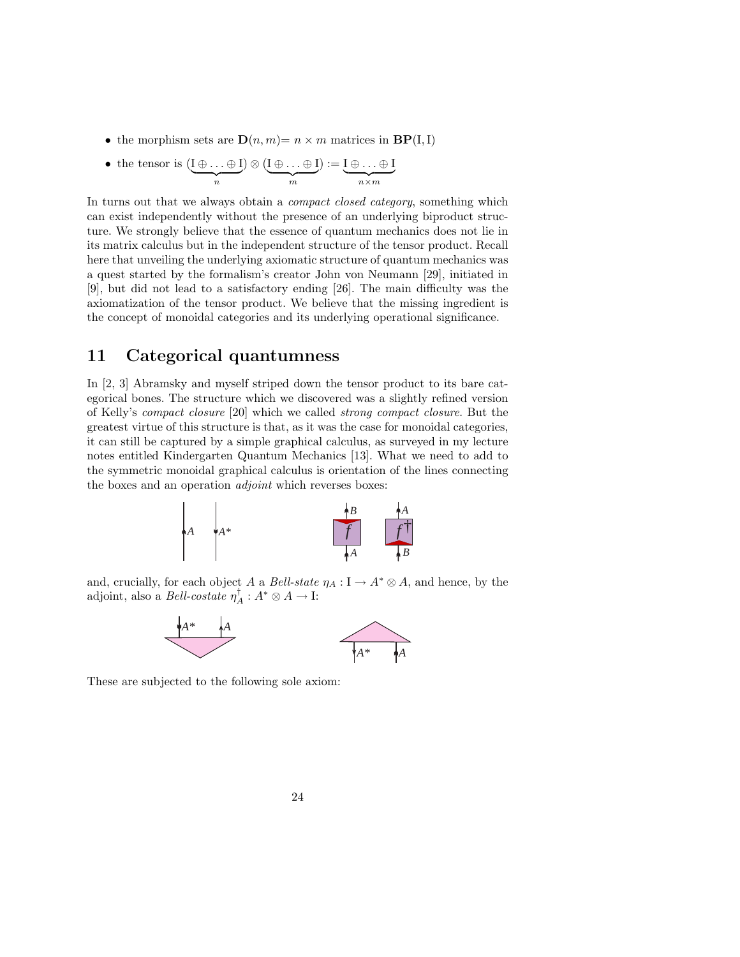- the morphism sets are  $\mathbf{D}(n,m) = n \times m$  matrices in  $\mathbf{BP}(I,I)$
- the tensor is  $(I \oplus \ldots \oplus I)$  $\overbrace{n}$  $)\otimes (\mathrm{I}\oplus \ldots \oplus \mathrm{I})$  $\frac{1}{m}$  $) := I \oplus \ldots \oplus I$  $\overline{n \times m}$

In turns out that we always obtain a *compact closed category*, something which can exist independently without the presence of an underlying biproduct structure. We strongly believe that the essence of quantum mechanics does not lie in its matrix calculus but in the independent structure of the tensor product. Recall here that unveiling the underlying axiomatic structure of quantum mechanics was a quest started by the formalism's creator John von Neumann [29], initiated in [9], but did not lead to a satisfactory ending [26]. The main difficulty was the axiomatization of the tensor product. We believe that the missing ingredient is the concept of monoidal categories and its underlying operational significance.

### 11 Categorical quantumness

In [2, 3] Abramsky and myself striped down the tensor product to its bare categorical bones. The structure which we discovered was a slightly refined version of Kelly's compact closure [20] which we called strong compact closure. But the greatest virtue of this structure is that, as it was the case for monoidal categories, it can still be captured by a simple graphical calculus, as surveyed in my lecture notes entitled Kindergarten Quantum Mechanics [13]. What we need to add to the symmetric monoidal graphical calculus is orientation of the lines connecting the boxes and an operation adjoint which reverses boxes:



and, crucially, for each object A a Bell-state  $\eta_A : I \to A^* \otimes A$ , and hence, by the adjoint, also a *Bell-costate*  $\eta_A^{\dagger} : A^* \otimes A \to \mathbb{I}$ :



These are subjected to the following sole axiom: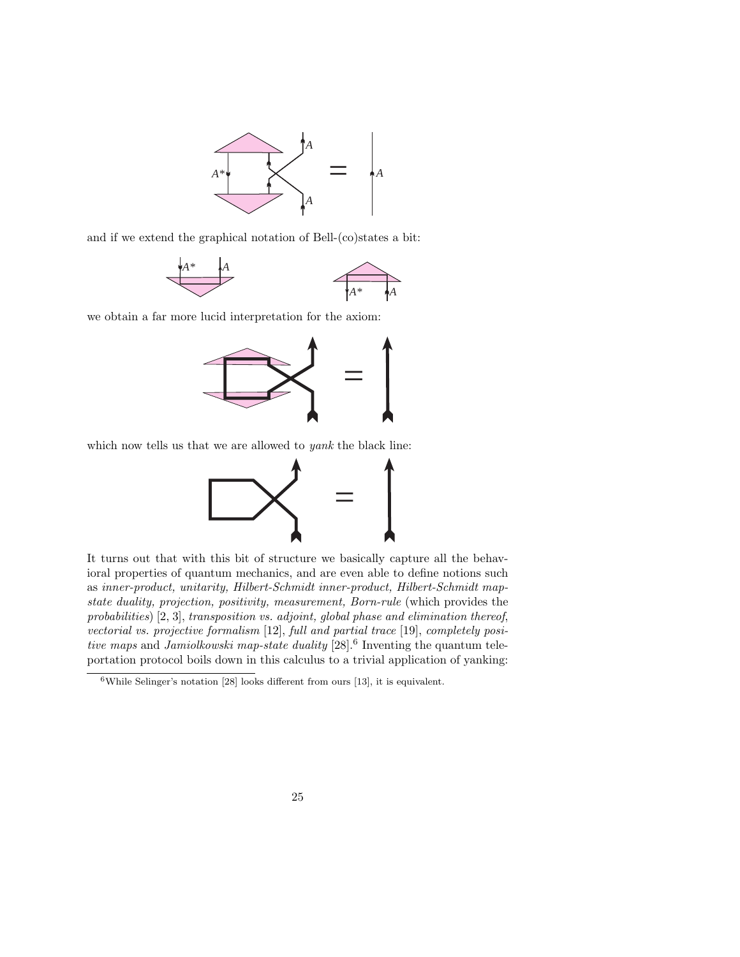

and if we extend the graphical notation of Bell-(co)states a bit:



we obtain a far more lucid interpretation for the axiom:



which now tells us that we are allowed to *yank* the black line:



It turns out that with this bit of structure we basically capture all the behavioral properties of quantum mechanics, and are even able to define notions such as inner-product, unitarity, Hilbert-Schmidt inner-product, Hilbert-Schmidt mapstate duality, projection, positivity, measurement, Born-rule (which provides the probabilities) [2, 3], transposition vs. adjoint, global phase and elimination thereof, vectorial vs. projective formalism [12], full and partial trace [19], completely positive maps and Jamiolkowski map-state duality  $[28]$ .<sup>6</sup> Inventing the quantum teleportation protocol boils down in this calculus to a trivial application of yanking:

<sup>6</sup>While Selinger's notation [28] looks different from ours [13], it is equivalent.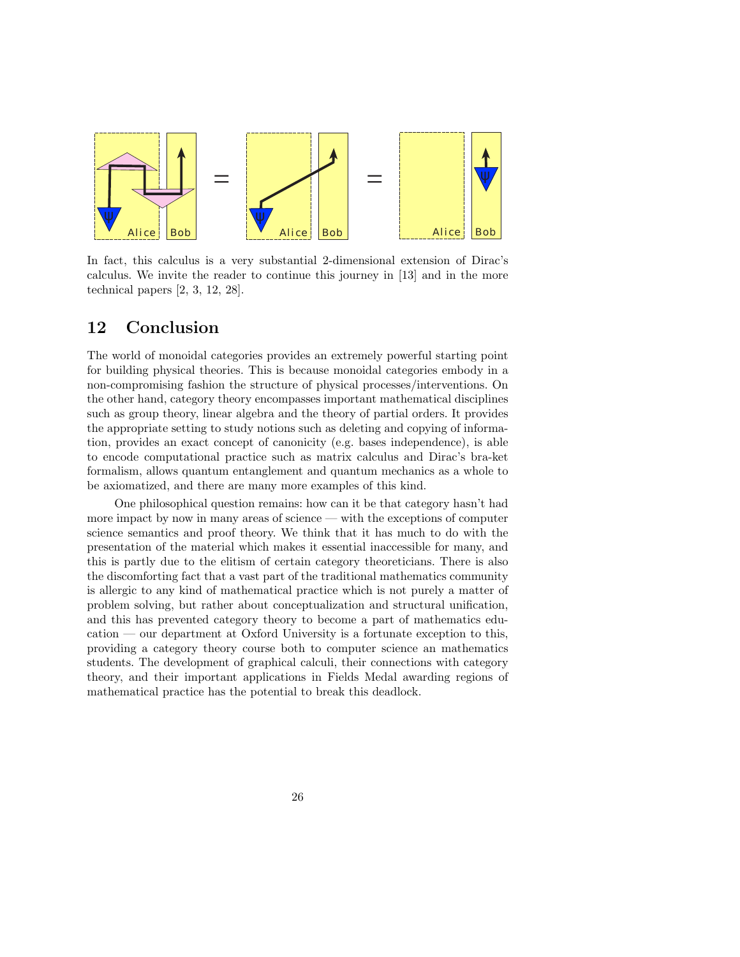

In fact, this calculus is a very substantial 2-dimensional extension of Dirac's calculus. We invite the reader to continue this journey in [13] and in the more technical papers [2, 3, 12, 28].

## 12 Conclusion

The world of monoidal categories provides an extremely powerful starting point for building physical theories. This is because monoidal categories embody in a non-compromising fashion the structure of physical processes/interventions. On the other hand, category theory encompasses important mathematical disciplines such as group theory, linear algebra and the theory of partial orders. It provides the appropriate setting to study notions such as deleting and copying of information, provides an exact concept of canonicity (e.g. bases independence), is able to encode computational practice such as matrix calculus and Dirac's bra-ket formalism, allows quantum entanglement and quantum mechanics as a whole to be axiomatized, and there are many more examples of this kind.

One philosophical question remains: how can it be that category hasn't had more impact by now in many areas of science — with the exceptions of computer science semantics and proof theory. We think that it has much to do with the presentation of the material which makes it essential inaccessible for many, and this is partly due to the elitism of certain category theoreticians. There is also the discomforting fact that a vast part of the traditional mathematics community is allergic to any kind of mathematical practice which is not purely a matter of problem solving, but rather about conceptualization and structural unification, and this has prevented category theory to become a part of mathematics education — our department at Oxford University is a fortunate exception to this, providing a category theory course both to computer science an mathematics students. The development of graphical calculi, their connections with category theory, and their important applications in Fields Medal awarding regions of mathematical practice has the potential to break this deadlock.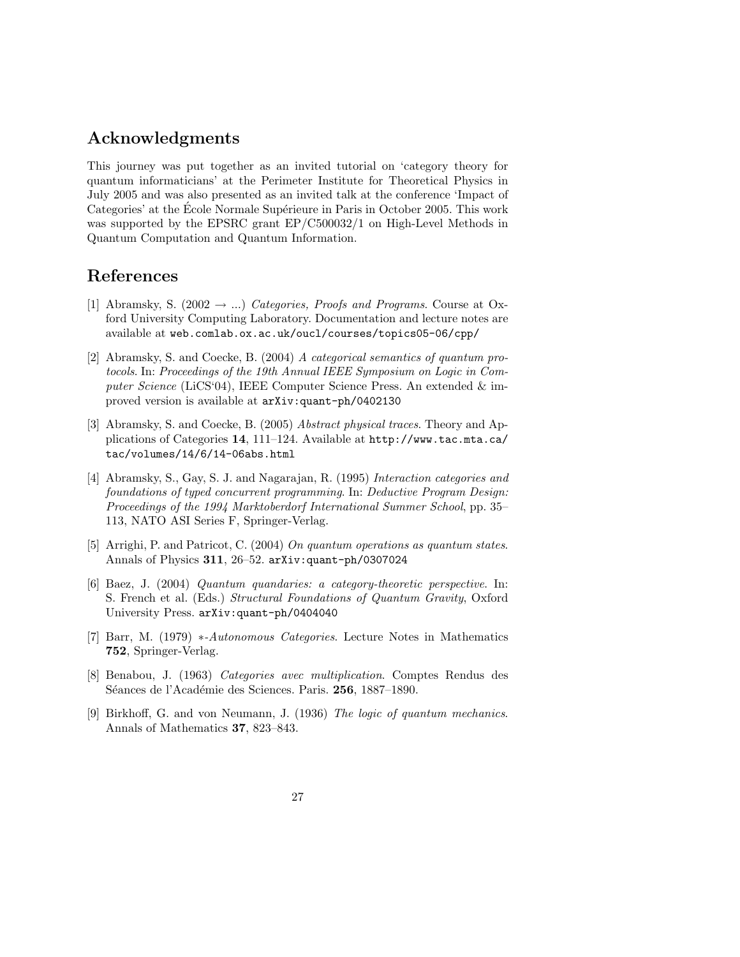## Acknowledgments

This journey was put together as an invited tutorial on 'category theory for quantum informaticians' at the Perimeter Institute for Theoretical Physics in July 2005 and was also presented as an invited talk at the conference 'Impact of Categories' at the Ecole Normale Supérieure in Paris in October 2005. This work was supported by the EPSRC grant EP/C500032/1 on High-Level Methods in Quantum Computation and Quantum Information.

## References

- [1] Abramsky, S. (2002  $\rightarrow$  ...) Categories, Proofs and Programs. Course at Oxford University Computing Laboratory. Documentation and lecture notes are available at web.comlab.ox.ac.uk/oucl/courses/topics05-06/cpp/
- [2] Abramsky, S. and Coecke, B. (2004) A categorical semantics of quantum protocols. In: Proceedings of the 19th Annual IEEE Symposium on Logic in Computer Science (LiCS'04), IEEE Computer Science Press. An extended & improved version is available at arXiv:quant-ph/0402130
- [3] Abramsky, S. and Coecke, B. (2005) Abstract physical traces. Theory and Applications of Categories 14, 111–124. Available at http://www.tac.mta.ca/ tac/volumes/14/6/14-06abs.html
- [4] Abramsky, S., Gay, S. J. and Nagarajan, R. (1995) Interaction categories and foundations of typed concurrent programming. In: Deductive Program Design: Proceedings of the 1994 Marktoberdorf International Summer School, pp. 35– 113, NATO ASI Series F, Springer-Verlag.
- [5] Arrighi, P. and Patricot, C. (2004) On quantum operations as quantum states. Annals of Physics 311, 26–52. arXiv:quant-ph/0307024
- [6] Baez, J. (2004) Quantum quandaries: a category-theoretic perspective. In: S. French et al. (Eds.) Structural Foundations of Quantum Gravity, Oxford University Press. arXiv:quant-ph/0404040
- [7] Barr, M. (1979) \*-Autonomous Categories. Lecture Notes in Mathematics 752, Springer-Verlag.
- [8] Benabou, J. (1963) Categories avec multiplication. Comptes Rendus des Séances de l'Académie des Sciences. Paris. 256, 1887–1890.
- [9] Birkhoff, G. and von Neumann, J. (1936) The logic of quantum mechanics. Annals of Mathematics 37, 823–843.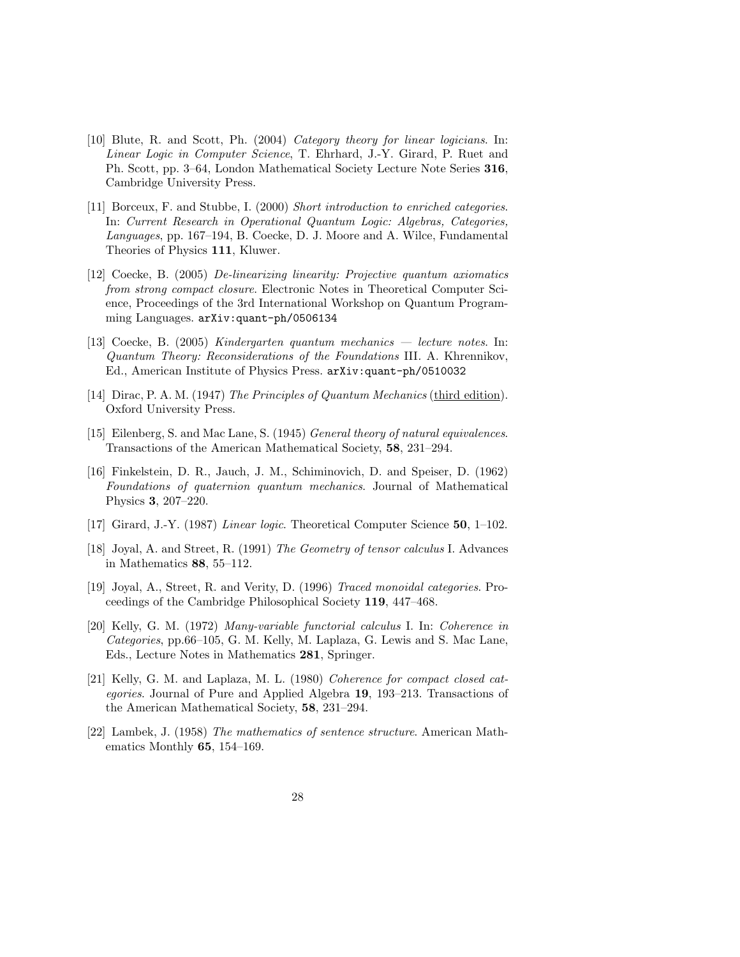- [10] Blute, R. and Scott, Ph. (2004) Category theory for linear logicians. In: Linear Logic in Computer Science, T. Ehrhard, J.-Y. Girard, P. Ruet and Ph. Scott, pp. 3–64, London Mathematical Society Lecture Note Series 316, Cambridge University Press.
- [11] Borceux, F. and Stubbe, I. (2000) Short introduction to enriched categories. In: Current Research in Operational Quantum Logic: Algebras, Categories, Languages, pp. 167–194, B. Coecke, D. J. Moore and A. Wilce, Fundamental Theories of Physics 111, Kluwer.
- [12] Coecke, B. (2005) De-linearizing linearity: Projective quantum axiomatics from strong compact closure. Electronic Notes in Theoretical Computer Science, Proceedings of the 3rd International Workshop on Quantum Programming Languages. arXiv:quant-ph/0506134
- [13] Coecke, B. (2005) Kindergarten quantum mechanics lecture notes. In: Quantum Theory: Reconsiderations of the Foundations III. A. Khrennikov, Ed., American Institute of Physics Press. arXiv:quant-ph/0510032
- [14] Dirac, P. A. M. (1947) The Principles of Quantum Mechanics (third edition). Oxford University Press.
- [15] Eilenberg, S. and Mac Lane, S. (1945) General theory of natural equivalences. Transactions of the American Mathematical Society, 58, 231–294.
- [16] Finkelstein, D. R., Jauch, J. M., Schiminovich, D. and Speiser, D. (1962) Foundations of quaternion quantum mechanics. Journal of Mathematical Physics 3, 207–220.
- [17] Girard, J.-Y. (1987) Linear logic. Theoretical Computer Science 50, 1–102.
- [18] Joyal, A. and Street, R. (1991) The Geometry of tensor calculus I. Advances in Mathematics 88, 55–112.
- [19] Joyal, A., Street, R. and Verity, D. (1996) Traced monoidal categories. Proceedings of the Cambridge Philosophical Society 119, 447–468.
- [20] Kelly, G. M. (1972) Many-variable functorial calculus I. In: Coherence in Categories, pp.66–105, G. M. Kelly, M. Laplaza, G. Lewis and S. Mac Lane, Eds., Lecture Notes in Mathematics 281, Springer.
- [21] Kelly, G. M. and Laplaza, M. L. (1980) Coherence for compact closed categories. Journal of Pure and Applied Algebra 19, 193–213. Transactions of the American Mathematical Society, 58, 231–294.
- [22] Lambek, J. (1958) The mathematics of sentence structure. American Mathematics Monthly 65, 154–169.